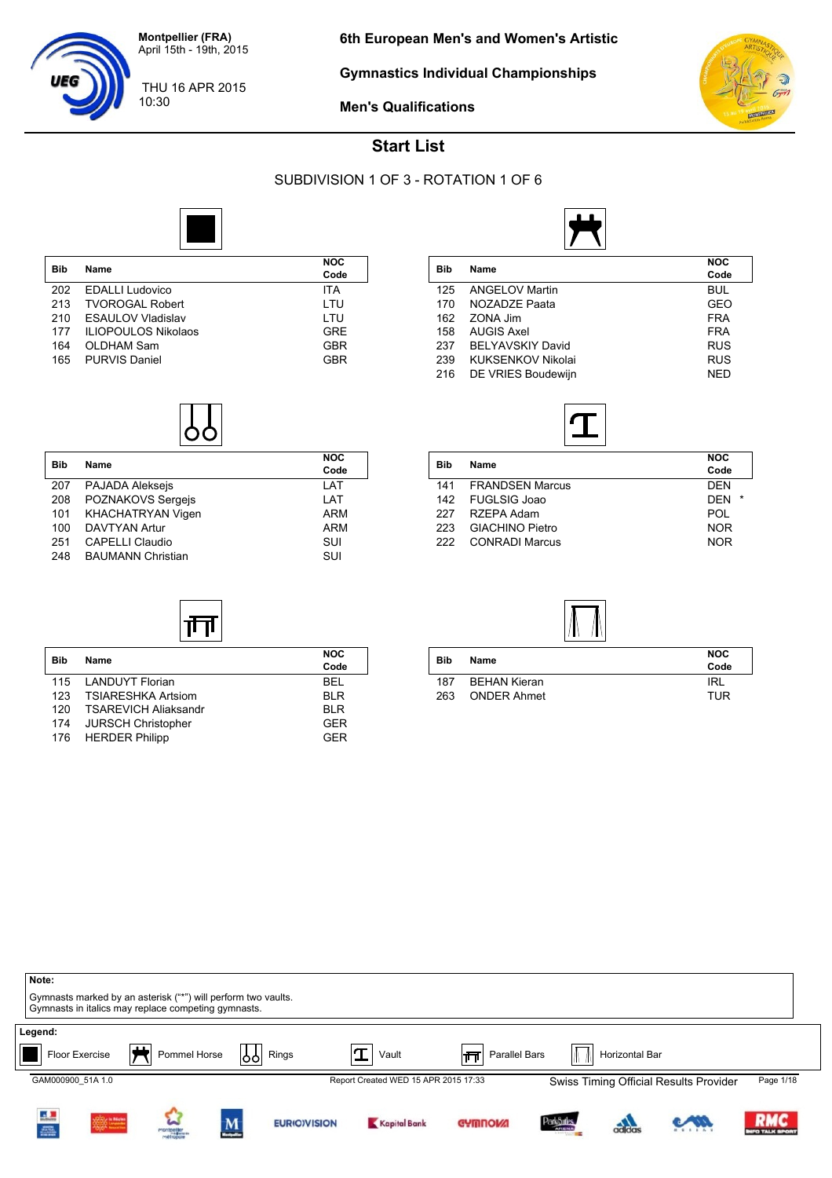

**Gymnastics Individual Championships**



**Men's Qualifications**



#### **Start List**

#### SUBDIVISION 1 OF 3 - ROTATION 1 OF 6



|                            | <b>NOC</b> |
|----------------------------|------------|
|                            | Code       |
| <b>EDALLI Ludovico</b>     | ITA        |
| <b>TVOROGAL Robert</b>     | LTU        |
| <b>ESAULOV Vladislav</b>   | LTU        |
| <b>ILIOPOULOS Nikolaos</b> | <b>GRE</b> |
| OLDHAM Sam                 | <b>GBR</b> |
| <b>PURVIS Daniel</b>       | GBR        |
|                            | Name       |



| <b>Bib</b> | Name                     | <b>NOC</b> |
|------------|--------------------------|------------|
|            |                          | Code       |
| 207        | PAJADA Aleksejs          | LAT        |
| 208        | POZNAKOVS Sergejs        | LAT        |
| 101        | KHACHATRYAN Vigen        | <b>ARM</b> |
| 100        | <b>DAVTYAN Artur</b>     | ARM        |
| 251        | <b>CAPELLI Claudio</b>   | SUI        |
| 248        | <b>BAUMANN Christian</b> | SUI        |

**Bib Name NOC**

帀

115 LANDUYT Florian BEL<br>123 TSIARESHKA Artsiom BLR TSIARESHKA Artsiom BLR<br>TSAREVICH Aliaksandr BLR BLR 120 TSAREVICH Aliaksandr BLR 174 JURSCH Christopher GER<br>176 HERDER Philipp GER

176 HERDER Philipp

|     |                          | <b>NOC</b> |
|-----|--------------------------|------------|
| Bib | Name                     | Code       |
| 125 | <b>ANGELOV Martin</b>    | <b>BUL</b> |
| 170 | NOZADZE Paata            | GEO        |
| 162 | ZONA Jim                 | <b>FRA</b> |
| 158 | <b>AUGIS Axel</b>        | <b>FRA</b> |
| 237 | <b>BELYAVSKIY David</b>  | <b>RUS</b> |
| 239 | <b>KUKSENKOV Nikolai</b> | <b>RUS</b> |
| 216 | DE VRIES Boudewijn       | <b>NED</b> |



| Bib | <b>Name</b>            | <b>NOC</b>            |
|-----|------------------------|-----------------------|
|     |                        | Code                  |
|     | 141 FRANDSEN Marcus    | <b>DEN</b>            |
|     | 142 FUGLSIG Joao       | <b>DFN</b><br>$\star$ |
| 227 | RZEPA Adam             | POL                   |
| 223 | <b>GIACHINO Pietro</b> | <b>NOR</b>            |
| 222 | <b>CONRADI Marcus</b>  | <b>NOR</b>            |
|     |                        |                       |



|            |                    | <b>NOC</b> |
|------------|--------------------|------------|
| <b>Bib</b> | Name               | Code       |
| 187        | BEHAN Kieran       | IRL        |
| 263        | <b>ONDER Ahmet</b> | <b>TUR</b> |

| Note:<br>Gymnasts marked by an asterisk ("*") will perform two vaults.<br>Gymnasts in italics may replace competing gymnasts. |                          |                         |    |                     |                                      |                     |                                 |                |                                        |                            |
|-------------------------------------------------------------------------------------------------------------------------------|--------------------------|-------------------------|----|---------------------|--------------------------------------|---------------------|---------------------------------|----------------|----------------------------------------|----------------------------|
| Legend:                                                                                                                       | ட<br>Floor Exercise<br>∽ | Pommel Horse            | 99 | Rings               | $\mathbf T$<br>Vault                 | Parallel Bars<br>∣π |                                 | Horizontal Bar |                                        |                            |
| GAM000900 51A 1.0                                                                                                             |                          |                         |    |                     | Report Created WED 15 APR 2015 17:33 |                     |                                 |                | Swiss Timing Official Results Provider | Page 1/18                  |
| i.                                                                                                                            | 30000 to Material        | <b>CALC</b><br>Montpole | M  | <b>EURIO)VISION</b> | Kapital Bank                         | <b>GYMNOW!</b>      | <b>ParkSules</b><br><b>AREN</b> |                |                                        | <b>RMC</b><br>FO TALK SPOI |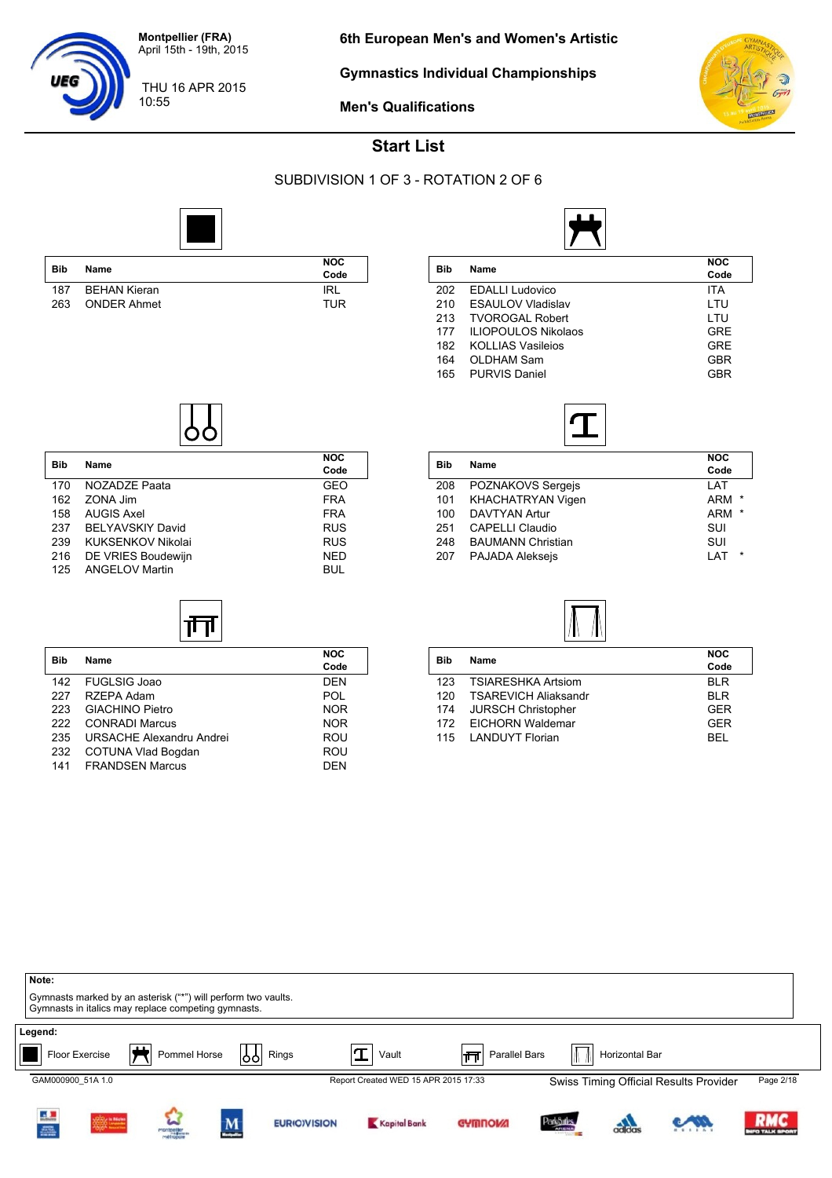

10:55

**Gymnastics Individual Championships**



**Men's Qualifications**

#### **Start List**

SUBDIVISION 1 OF 3 - ROTATION 2 OF 6

**Code**

**Code**



| <b>Bib</b> | Name                | <b>NOC</b><br>Code |
|------------|---------------------|--------------------|
| 187        | <b>BEHAN Kieran</b> | <b>IRL</b>         |
| 263        | <b>ONDER Ahmet</b>  | TUR                |

**Bib Name NOC**

170 NOZADZE Paata GEO<br>162 ZONA Jim FRA

158 AUGIS Axel FRA 237 BELYAVSKIY David<br>239 KUKSENKOV Nikolai RUS RUS

216 DE VRIES Boudewijn NED<br>125 ANGELOV Martin New York BUL

**Bib Name NOC**

ॉ∏

142 FUGLSIG Joao DEN<br>227 RZEPA Adam POL

223 GIACHINO Pietro NOR 222 CONRADI Marcus NOR 235 URSACHE Alexandru Andrei Physics ROU 232 COTUNA Vlad Bogdan ROU 141 FRANDSEN Marcus **DEN** 

ZONA Jim

125 ANGELOV Martin

RZEPA Adam

KUKSENKOV Nikolai

|     |                            | <b>NOC</b> |
|-----|----------------------------|------------|
| Bib | Name                       | Code       |
| 202 | <b>EDALLI</b> Ludovico     | <b>ITA</b> |
| 210 | <b>ESAULOV Vladislav</b>   | LTU        |
| 213 | <b>TVOROGAL Robert</b>     | LTU        |
| 177 | <b>ILIOPOULOS Nikolaos</b> | <b>GRE</b> |
| 182 | <b>KOLLIAS Vasileios</b>   | <b>GRE</b> |
| 164 | OLDHAM Sam                 | <b>GBR</b> |
| 165 | <b>PURVIS Daniel</b>       | GBR        |



| Bib | Name                     | <b>NOC</b>            |
|-----|--------------------------|-----------------------|
|     |                          | Code                  |
| 208 | POZNAKOVS Sergejs        | LAT                   |
| 101 | <b>KHACHATRYAN Vigen</b> | <b>ARM</b><br>$\star$ |
| 100 | <b>DAVTYAN Artur</b>     | <b>ARM</b><br>$\star$ |
| 251 | <b>CAPELLI Claudio</b>   | SUI                   |
| 248 | <b>BAUMANN Christian</b> | SUI                   |
| 207 | <b>PAJADA Alekseis</b>   | $\star$<br>I AT       |
|     |                          |                       |



| <b>Bib</b> | <b>Name</b>                 | <b>NOC</b><br>Code |
|------------|-----------------------------|--------------------|
| 123        | <b>TSIARESHKA Artsiom</b>   | BI R               |
| 120        | <b>TSAREVICH Aliaksandr</b> | <b>BIR</b>         |
| 174        | <b>JURSCH Christopher</b>   | <b>GFR</b>         |
|            | 172 EICHORN Waldemar        | GFR                |
| 115        | LANDUYT Florian             | <b>REL</b>         |

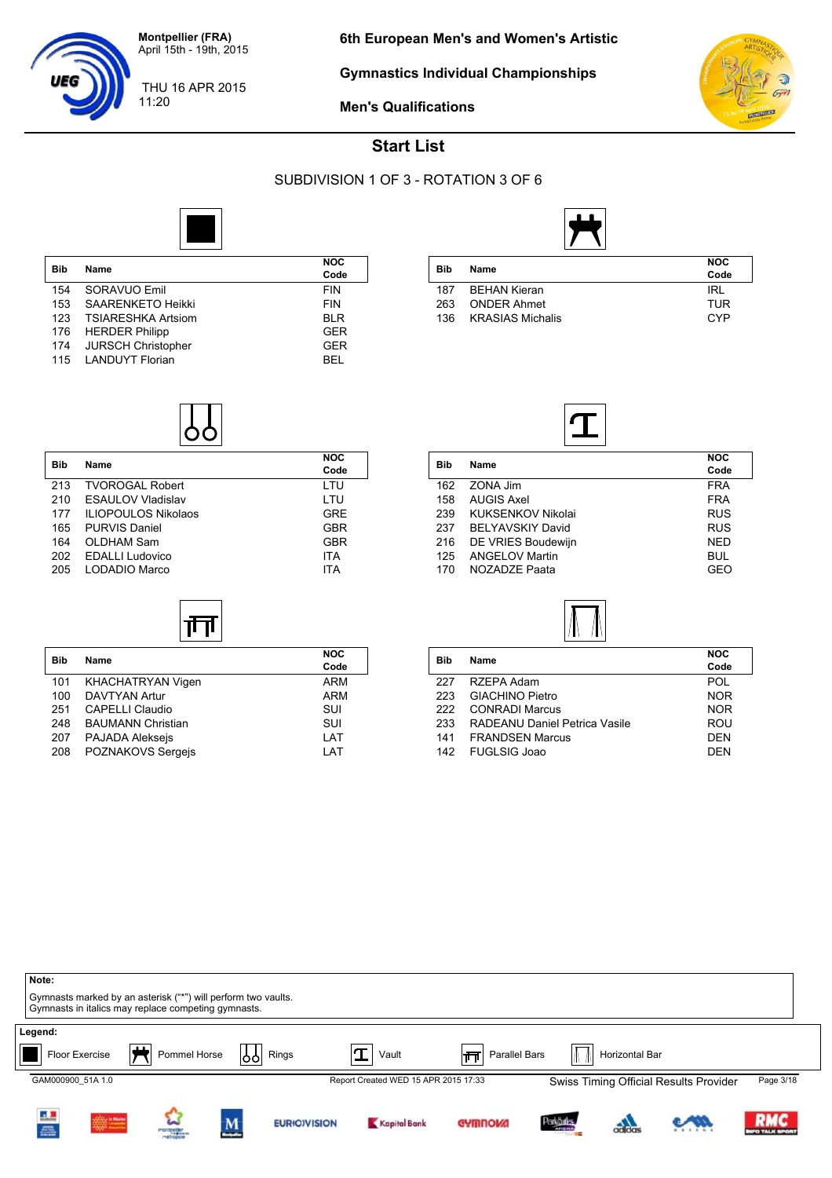

11:20

UEG

**Gymnastics Individual Championships**



**Men's Qualifications**

### **Start List**

#### SUBDIVISION 1 OF 3 - ROTATION 3 OF 6



| <b>Bib</b> | Name                      | <b>NOC</b> |
|------------|---------------------------|------------|
|            |                           | Code       |
| 154        | SORAVUO Emil              | <b>FIN</b> |
| 153        | <b>SAARENKETO Heikki</b>  | <b>FIN</b> |
| 123        | <b>TSIARESHKA Artsiom</b> | <b>BLR</b> |
| 176        | <b>HERDER Philipp</b>     | <b>GER</b> |
| 174        | <b>JURSCH Christopher</b> | <b>GER</b> |
| 115        | <b>LANDUYT Florian</b>    | RFI        |



|     |                         | <b>NOC</b> |
|-----|-------------------------|------------|
| Bib | Name                    | Code       |
| 187 | <b>BEHAN Kieran</b>     | IRL        |
| 263 | <b>ONDER Ahmet</b>      | <b>TUR</b> |
| 136 | <b>KRASIAS Michalis</b> | CYP        |



| <b>Bib</b> | Name                       | <b>NOC</b><br>Code |
|------------|----------------------------|--------------------|
| 213        | <b>TVOROGAL Robert</b>     | LTU                |
| 210        | <b>ESAULOV Vladislav</b>   | LTU                |
| 177        | <b>ILIOPOULOS Nikolaos</b> | <b>GRE</b>         |
| 165        | <b>PURVIS Daniel</b>       | <b>GBR</b>         |
| 164        | OLDHAM Sam                 | <b>GBR</b>         |
| 202        | <b>EDALLI Ludovico</b>     | <b>ITA</b>         |
| 205        | LODADIO Marco              | ITA                |
|            |                            |                    |

## 帀

| <b>Bib</b> | Name                     | <b>NOC</b><br>Code |
|------------|--------------------------|--------------------|
| 101        | KHACHATRYAN Vigen        | ARM                |
| 100        | <b>DAVTYAN Artur</b>     | ARM                |
| 251        | <b>CAPELLI Claudio</b>   | SUI                |
| 248        | <b>BAUMANN Christian</b> | SUI                |
| 207        | <b>PAJADA Aleksejs</b>   | LAT                |
| 208        | POZNAKOVS Sergejs        | LAT                |

| Bib | Name                    | <b>NOC</b> |
|-----|-------------------------|------------|
|     |                         | Code       |
| 162 | ZONA Jim                | <b>FRA</b> |
| 158 | <b>AUGIS Axel</b>       | <b>FRA</b> |
| 239 | KUKSENKOV Nikolai       | <b>RUS</b> |
| 237 | <b>BELYAVSKIY David</b> | <b>RUS</b> |
| 216 | DE VRIES Boudewijn      | <b>NED</b> |
| 125 | <b>ANGELOV Martin</b>   | BUL        |
| 170 | NOZADZE Paata           | GEO        |
|     |                         |            |



| <b>Bib</b> | Name                          | <b>NOC</b><br>Code |
|------------|-------------------------------|--------------------|
|            |                               |                    |
| 227        | RZEPA Adam                    | POL.               |
| 223        | <b>GIACHINO Pietro</b>        | <b>NOR</b>         |
| 222        | <b>CONRADI Marcus</b>         | <b>NOR</b>         |
| 233        | RADEANU Daniel Petrica Vasile | ROU                |
| 141        | <b>FRANDSEN Marcus</b>        | <b>DEN</b>         |
| 142        | <b>FUGLSIG Joao</b>           | <b>DEN</b>         |
|            |                               |                    |

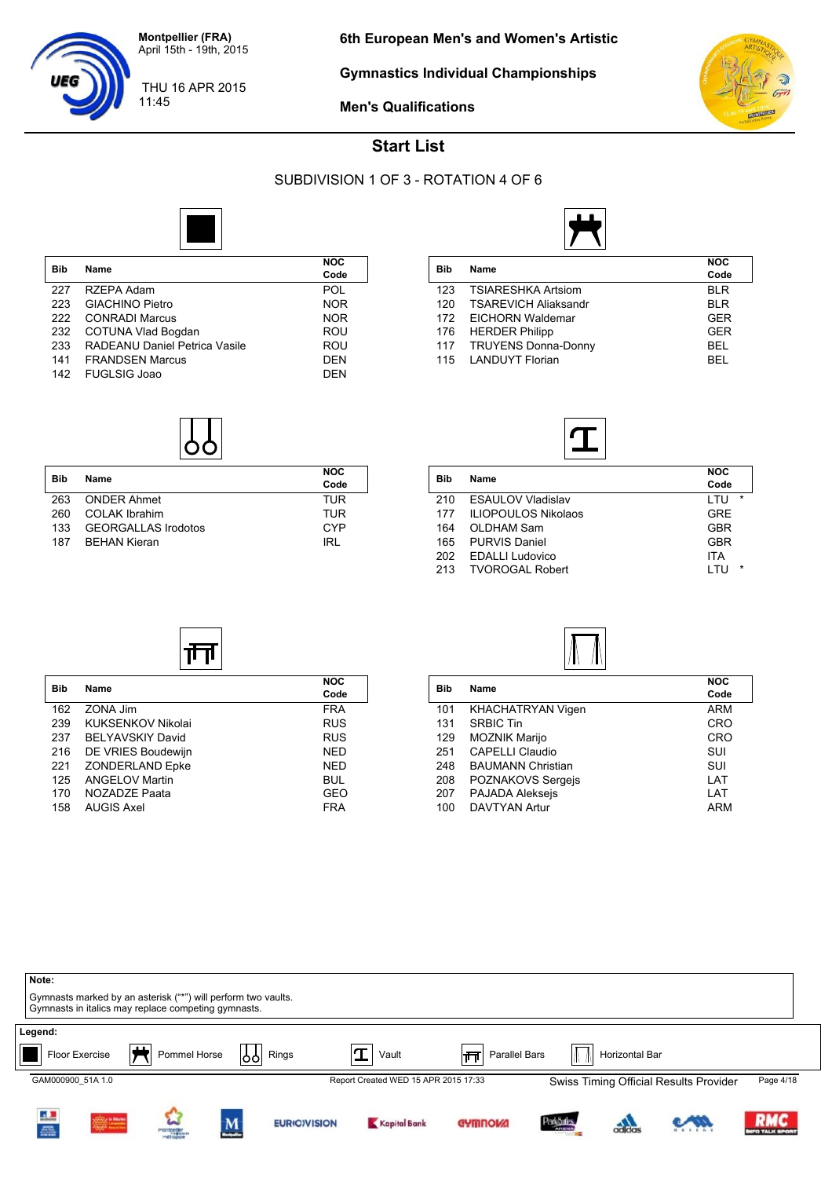

11:45

UEG

**Gymnastics Individual Championships**



**Men's Qualifications**

### **Start List**

#### SUBDIVISION 1 OF 3 - ROTATION 4 OF 6



| <b>Bib</b> | Name                          | NOC        |
|------------|-------------------------------|------------|
|            |                               | Code       |
| 227        | RZEPA Adam                    | POL        |
| 223        | <b>GIACHINO Pietro</b>        | <b>NOR</b> |
| 222        | <b>CONRADI Marcus</b>         | <b>NOR</b> |
| 232        | COTUNA Vlad Bogdan            | ROU        |
| 233        | RADEANU Daniel Petrica Vasile | ROU        |
| 141        | <b>FRANDSEN Marcus</b>        | <b>DEN</b> |
| 142        | <b>FUGLSIG Joao</b>           | <b>DEN</b> |



| Bib | <b>Name</b>                | <b>NOC</b><br>Code |
|-----|----------------------------|--------------------|
| 263 | <b>ONDER Ahmet</b>         | TUR                |
| 260 | COLAK Ibrahim              | TUR                |
| 133 | <b>GEORGALLAS Irodotos</b> | CYP                |
| 187 | <b>BEHAN Kieran</b>        | IRL                |

| Bib |                             | <b>NOC</b> |
|-----|-----------------------------|------------|
|     | Name                        | Code       |
| 123 | <b>TSIARESHKA Artsiom</b>   | <b>BLR</b> |
| 120 | <b>TSAREVICH Aliaksandr</b> | <b>BLR</b> |
| 172 | EICHORN Waldemar            | <b>GER</b> |
| 176 | <b>HERDER Philipp</b>       | <b>GER</b> |
|     | 117 TRUYENS Donna-Donny     | <b>BEL</b> |
| 115 | <b>LANDUYT Florian</b>      | BEL        |
|     |                             |            |



| Bib | Name                       | <b>NOC</b><br>Code |
|-----|----------------------------|--------------------|
| 210 | <b>ESAULOV Vladislav</b>   | $\star$<br>LTU     |
| 177 | <b>ILIOPOULOS Nikolaos</b> | <b>GRE</b>         |
| 164 | OLDHAM Sam                 | <b>GBR</b>         |
| 165 | <b>PURVIS Daniel</b>       | GBR                |
| 202 | <b>EDALLI Ludovico</b>     | <b>ITA</b>         |
| 213 | <b>TVOROGAL Robert</b>     | $\star$<br>I TU    |
|     |                            |                    |

# गा

| Bib | <b>Name</b>             | <b>NOC</b><br>Code |
|-----|-------------------------|--------------------|
| 162 | ZONA Jim                | <b>FRA</b>         |
| 239 | KUKSENKOV Nikolai       | <b>RUS</b>         |
| 237 | <b>BELYAVSKIY David</b> | <b>RUS</b>         |
| 216 | DE VRIES Boudewijn      | <b>NED</b>         |
| 221 | <b>ZONDERLAND Epke</b>  | <b>NED</b>         |
| 125 | <b>ANGELOV Martin</b>   | <b>BUL</b>         |
| 170 | NOZADZE Paata           | GEO                |
| 158 | <b>AUGIS Axel</b>       | FRA                |



| <b>Bib</b> | Name                     | <b>NOC</b> |
|------------|--------------------------|------------|
|            |                          | Code       |
| 101        | <b>KHACHATRYAN Vigen</b> | ARM        |
| 131        | <b>SRBIC Tin</b>         | <b>CRO</b> |
| 129        | <b>MOZNIK Marijo</b>     | CRO        |
| 251        | CAPELLI Claudio          | SUI        |
| 248        | <b>BAUMANN Christian</b> | SUI        |
| 208        | POZNAKOVS Sergejs        | LAT        |
| 207        | <b>PAJADA Alekseis</b>   | LAT        |
| 100        | <b>DAVTYAN Artur</b>     | <b>ARM</b> |
|            |                          |            |

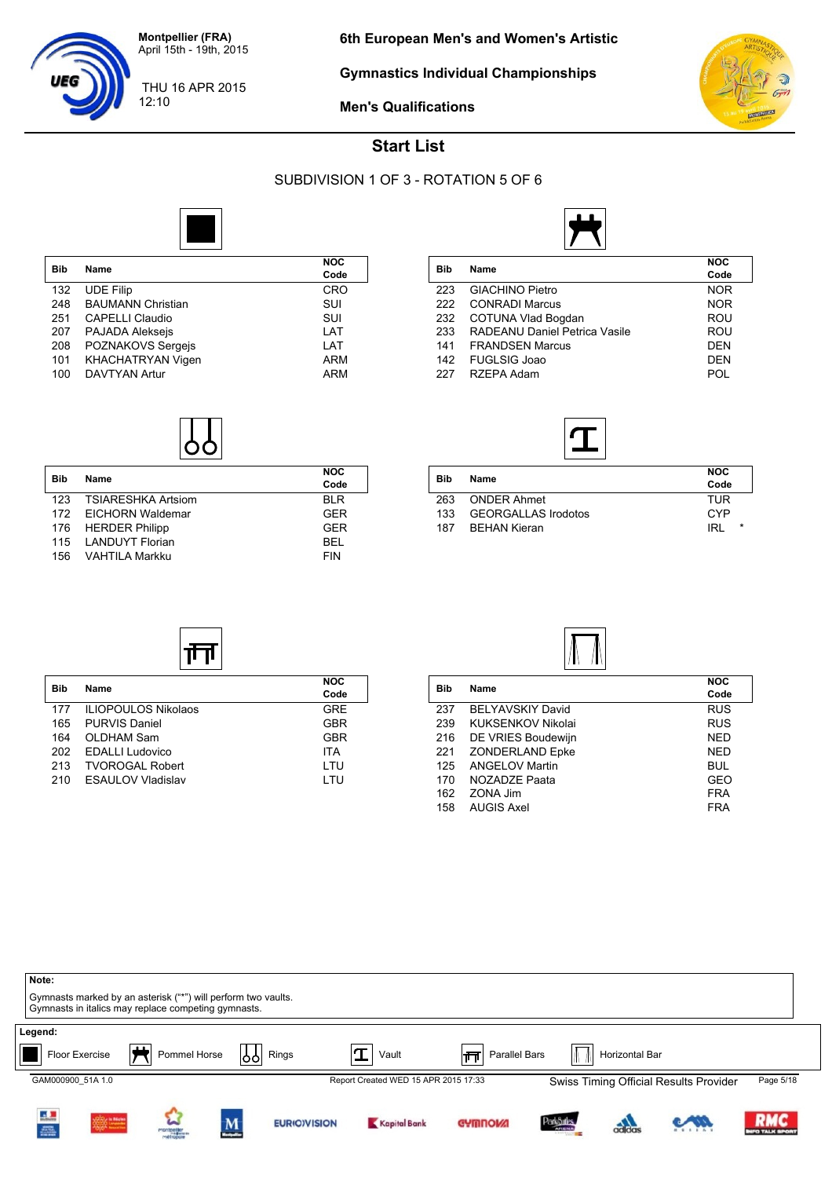

12:10

**Gymnastics Individual Championships**



**Men's Qualifications**

#### **Start List**

#### SUBDIVISION 1 OF 3 - ROTATION 5 OF 6



| <b>Bib</b> | Name                     | NOC<br>Code |
|------------|--------------------------|-------------|
| 132        | <b>UDE Filip</b>         | <b>CRO</b>  |
| 248        | <b>BAUMANN Christian</b> | SUI         |
| 251        | <b>CAPELLI Claudio</b>   | SUI         |
| 207        | PAJADA Aleksejs          | LAT         |
| 208        | POZNAKOVS Sergejs        | LAT         |
| 101        | <b>KHACHATRYAN Vigen</b> | <b>ARM</b>  |
| 100        | <b>DAVTYAN Artur</b>     | <b>ARM</b>  |



| Bib | Name                 | <b>NOC</b><br>Code |
|-----|----------------------|--------------------|
| 123 | TSIARESHKA Artsiom   | <b>BIR</b>         |
|     | 172 EICHORN Waldemar | GFR                |
|     | 176 HERDER Philipp   | GFR                |
|     | 115 LANDUYT Florian  | <b>BEL</b>         |
| 156 | VAHTILA Markku       | <b>FIN</b>         |

**Bib Name NOC**

帀

177 ILIOPOULOS Nikolaos GRE 165 PURVIS Daniel GBR 164 OLDHAM Sam GBR 202 EDALLI Ludovico ITA 213 TVOROGAL Robert LTU<br>210 ESAULOV Vladislav LTU

210 ESAULOV Vladislav



|     | <b>Name</b>                   | <b>NOC</b> |
|-----|-------------------------------|------------|
| Bib |                               | Code       |
| 223 | <b>GIACHINO Pietro</b>        | <b>NOR</b> |
| 222 | <b>CONRADI Marcus</b>         | <b>NOR</b> |
| 232 | <b>COTUNA Vlad Bogdan</b>     | ROU        |
| 233 | RADEANU Daniel Petrica Vasile | <b>ROU</b> |
| 141 | <b>FRANDSEN Marcus</b>        | <b>DEN</b> |
| 142 | <b>FUGLSIG Joao</b>           | <b>DEN</b> |
| 227 | RZEPA Adam                    | PNL        |



| Bib | Name                       | <b>NOC</b><br>Code |
|-----|----------------------------|--------------------|
| 263 | <b>ONDER Ahmet</b>         | TUR                |
| 133 | <b>GEORGALLAS Irodotos</b> | CYP                |
| 187 | <b>BEHAN Kieran</b>        | *<br>IRL           |



| Bib | Name                    | <b>NOC</b><br>Code |
|-----|-------------------------|--------------------|
| 237 | <b>BELYAVSKIY David</b> | <b>RUS</b>         |
| 239 | KUKSENKOV Nikolai       | <b>RUS</b>         |
| 216 | DE VRIES Boudewijn      | NED                |
| 221 | <b>ZONDERLAND Epke</b>  | NED                |
| 125 | <b>ANGELOV Martin</b>   | <b>BUL</b>         |
| 170 | NOZADZE Paata           | GEO                |
| 162 | ZONA Jim                | <b>FRA</b>         |
| 158 | <b>AUGIS Axel</b>       | FRA                |
|     |                         |                    |

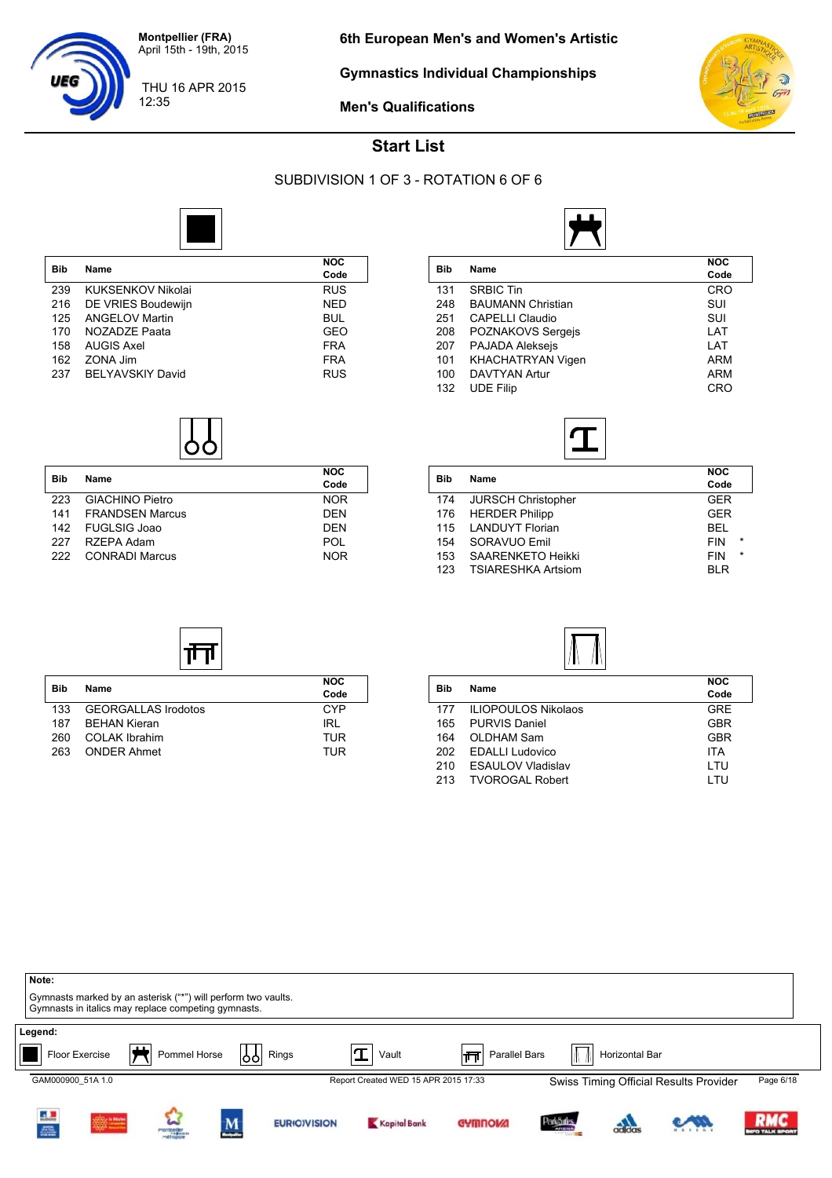

12:35

UEG

**Gymnastics Individual Championships**



THU 16 APR 2015

**Men's Qualifications**

#### **Start List**

#### SUBDIVISION 1 OF 3 - ROTATION 6 OF 6



| <b>Bib</b> | Name                    | NOC<br>Code |
|------------|-------------------------|-------------|
| 239        | KUKSENKOV Nikolai       | <b>RUS</b>  |
| 216        | DE VRIES Boudewijn      | <b>NED</b>  |
| 125        | <b>ANGELOV Martin</b>   | <b>BUL</b>  |
| 170        | NOZADZE Paata           | GEO         |
| 158        | <b>AUGIS Axel</b>       | <b>FRA</b>  |
| 162        | ZONA Jim                | <b>FRA</b>  |
| 237        | <b>BELYAVSKIY David</b> | <b>RUS</b>  |



| Bib | <b>Name</b>            | <b>NOC</b><br>Code |
|-----|------------------------|--------------------|
| 223 | <b>GIACHINO Pietro</b> | <b>NOR</b>         |
|     | 141 FRANDSEN Marcus    | <b>DEN</b>         |
|     | 142 FUGLSIG Joao       | <b>DEN</b>         |
| 227 | RZEPA Adam             | POL                |
| 222 | <b>CONRADI Marcus</b>  | <b>NOR</b>         |

| <b>Bib</b> | Name                     | <b>NOC</b><br>Code |
|------------|--------------------------|--------------------|
| 131        | <b>SRBIC Tin</b>         | CRO                |
| 248        | <b>BAUMANN Christian</b> | SUI                |
| 251        | <b>CAPELLI Claudio</b>   | SUI                |
| 208        | <b>POZNAKOVS Sergejs</b> | LAT                |
| 207        | <b>PAJADA Aleksejs</b>   | LAT                |
| 101        | <b>KHACHATRYAN Vigen</b> | <b>ARM</b>         |
| 100        | <b>DAVTYAN Artur</b>     | <b>ARM</b>         |
| 132        | <b>UDE Filip</b>         | CRO                |



| Bib | Name                      | <b>NOC</b><br>Code |         |
|-----|---------------------------|--------------------|---------|
| 174 | <b>JURSCH Christopher</b> | <b>GER</b>         |         |
| 176 | <b>HERDER Philipp</b>     | GFR                |         |
| 115 | <b>LANDUYT Florian</b>    | BEL                |         |
| 154 | SORAVUO Emil              | <b>FIN</b>         | $\star$ |
| 153 | <b>SAARENKETO Heikki</b>  | <b>FIN</b>         | $\star$ |
| 123 | <b>TSIARESHKA Artsiom</b> | <b>BLR</b>         |         |
|     |                           |                    |         |

| Bib | Name                       | <b>NOC</b><br>Code |
|-----|----------------------------|--------------------|
| 133 | <b>GEORGALLAS Irodotos</b> | CYP                |
| 187 | <b>BEHAN Kieran</b>        | IRL                |
| 260 | <b>COLAK Ibrahim</b>       | TUR                |
| 263 | <b>ONDER Ahmet</b>         | TUR                |

| . .<br>.   |                            |            |  |
|------------|----------------------------|------------|--|
| <b>Bib</b> | Name                       | <b>NOC</b> |  |
|            |                            | Code       |  |
| 177        | <b>ILIOPOULOS Nikolaos</b> | <b>GRE</b> |  |
| 165        | <b>PURVIS Daniel</b>       | <b>GBR</b> |  |
| 164        | <b>OLDHAM Sam</b>          | <b>GBR</b> |  |
| 202        | <b>EDALLI Ludovico</b>     | <b>ITA</b> |  |
| 210        | <b>ESAULOV Vladislav</b>   | LTU        |  |
| 213        | <b>TVOROGAL Robert</b>     | LTU        |  |



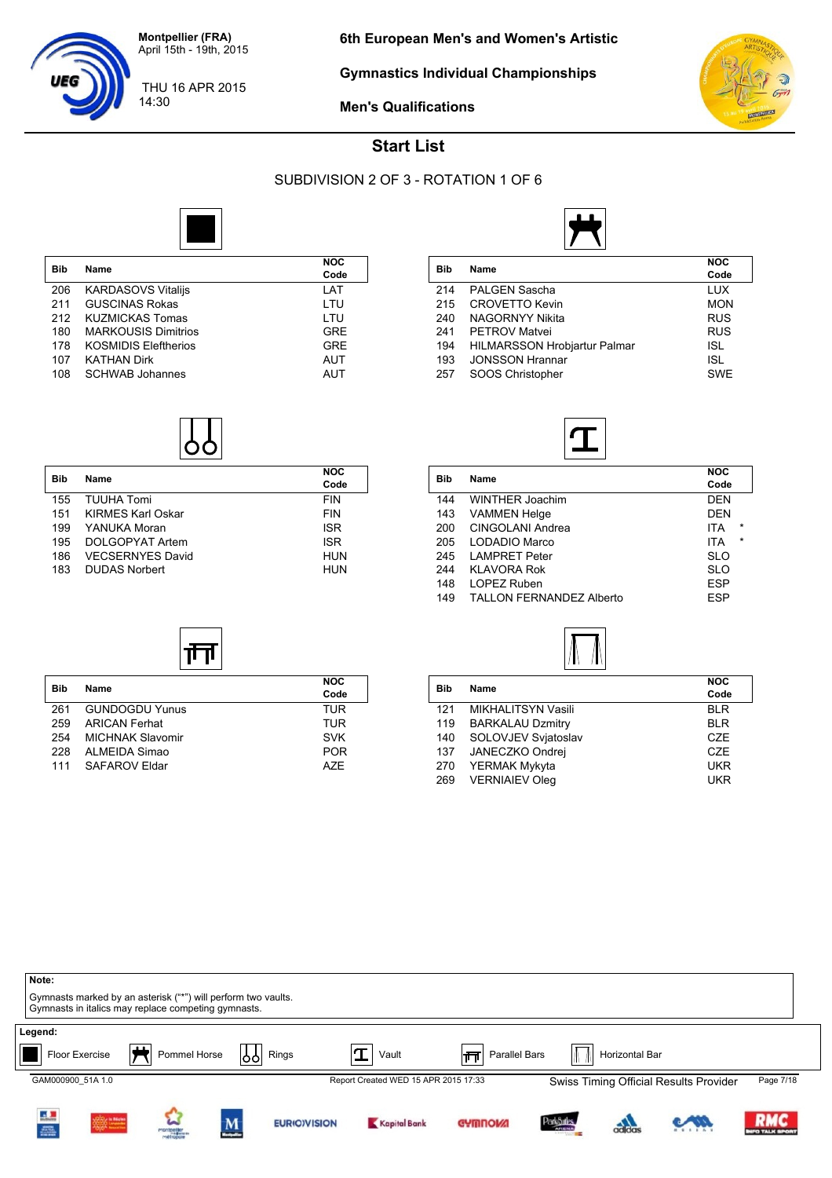

14:30

**Gymnastics Individual Championships**



**Men's Qualifications**

#### **Start List**

#### SUBDIVISION 2 OF 3 - ROTATION 1 OF 6



|            |                             | <b>NOC</b> |
|------------|-----------------------------|------------|
| <b>Bib</b> | Name                        | Code       |
| 206        | <b>KARDASOVS Vitalijs</b>   | LAT        |
| 211        | <b>GUSCINAS Rokas</b>       | LTU        |
| 212        | <b>KUZMICKAS Tomas</b>      | LTU        |
| 180        | <b>MARKOUSIS Dimitrios</b>  | <b>GRE</b> |
| 178        | <b>KOSMIDIS Eleftherios</b> | <b>GRE</b> |
| 107        | <b>KATHAN Dirk</b>          | AUT        |
| 108        | <b>SCHWAB Johannes</b>      | AUT        |



| <b>Bib</b> | Name                     | <b>NOC</b><br>Code |
|------------|--------------------------|--------------------|
| 155        | <b>TUUHA Tomi</b>        | <b>FIN</b>         |
| 151        | <b>KIRMES Karl Oskar</b> | <b>FIN</b>         |
| 199        | YANUKA Moran             | <b>ISR</b>         |
| 195        | DOLGOPYAT Artem          | <b>ISR</b>         |
| 186        | <b>VECSERNYES David</b>  | <b>HUN</b>         |
| 183        | <b>DUDAS Norbert</b>     | <b>HUN</b>         |

| Bib | Name                                | <b>NOC</b><br>Code |  |  |
|-----|-------------------------------------|--------------------|--|--|
| 214 | PALGEN Sascha                       | <b>LUX</b>         |  |  |
| 215 | <b>CROVETTO Kevin</b>               | <b>MON</b>         |  |  |
| 240 | <b>NAGORNYY Nikita</b>              | <b>RUS</b>         |  |  |
| 241 | <b>PETROV Matvei</b>                | <b>RUS</b>         |  |  |
| 194 | <b>HILMARSSON Hrobjartur Palmar</b> | <b>ISL</b>         |  |  |
| 193 | <b>JONSSON Hrannar</b>              | <b>ISL</b>         |  |  |

257 SOOS Christopher SWE



| Bib | Name                            | <b>NOC</b><br>Code    |
|-----|---------------------------------|-----------------------|
| 144 | WINTHER Joachim                 | <b>DEN</b>            |
| 143 | <b>VAMMEN Helge</b>             | <b>DEN</b>            |
| 200 | CINGOLANI Andrea                | $\star$<br><b>ITA</b> |
| 205 | LODADIO Marco                   | $\star$<br>ITA        |
| 245 | <b>LAMPRET Peter</b>            | <b>SLO</b>            |
| 244 | KLAVORA Rok                     | <b>SLO</b>            |
| 148 | LOPEZ Ruben                     | <b>ESP</b>            |
| 149 | <b>TALLON FERNANDEZ Alberto</b> | <b>ESP</b>            |



| Name                    | <b>NOC</b><br>Code |
|-------------------------|--------------------|
| MIKHALITSYN Vasili      | <b>BLR</b>         |
| <b>BARKALAU Dzmitry</b> | <b>BLR</b>         |
| SOLOVJEV Svjatoslav     | CZE                |
| JANECZKO Ondrej         | CZE                |
| YERMAK Mykyta           | <b>UKR</b>         |
| <b>VERNIAIEV Oleg</b>   | <b>UKR</b>         |
|                         |                    |

| Note:<br>Gymnasts marked by an asterisk ("*") will perform two vaults.<br>Gymnasts in italics may replace competing gymnasts. |                   |              |                     |                                      |                    |                                  |                |                                        |                                |
|-------------------------------------------------------------------------------------------------------------------------------|-------------------|--------------|---------------------|--------------------------------------|--------------------|----------------------------------|----------------|----------------------------------------|--------------------------------|
| Legend:<br>Floor Exercise                                                                                                     | ட<br>Pommel Horse | 99 <br>Rings | $\mathbf T$         | Vault                                | Parallel Bars<br>帀 | W                                | Horizontal Bar |                                        |                                |
| GAM000900 51A 1.0                                                                                                             |                   |              |                     | Report Created WED 15 APR 2015 17:33 |                    |                                  |                | Swiss Timing Official Results Provider | Page 7/18                      |
| i.<br><b>SOON IN MANY</b><br>POOR NAMED                                                                                       | W                 | M            | <b>EURIO)VISION</b> | Kapital Bank                         | <b>GYMNOW!</b>     | <b>ParkSules</b><br><b>ARENA</b> | adidas         |                                        | <b>RMC</b><br><b>O TALK SI</b> |



| <b>Bib</b> |                         | <b>NOC</b> |
|------------|-------------------------|------------|
|            | <b>Name</b>             | Code       |
| 261        | <b>GUNDOGDU Yunus</b>   | TUR        |
| 259        | <b>ARICAN Ferhat</b>    | TUR        |
| 254        | <b>MICHNAK Slavomir</b> | <b>SVK</b> |
| 228        | ALMEIDA Simao           | <b>POR</b> |
| 111        | SAFAROV Eldar           | A7F        |

UEC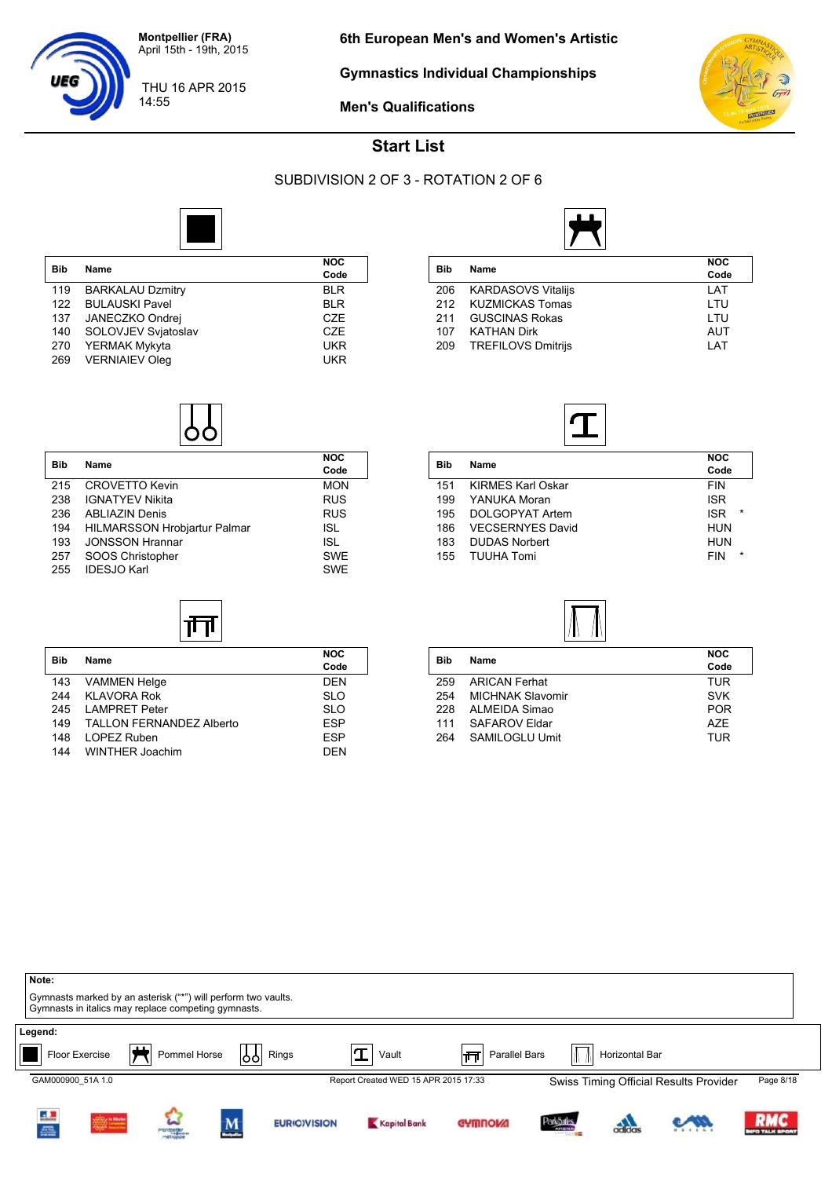

14:55

**Gymnastics Individual Championships**



**Men's Qualifications**



#### **Start List**

#### SUBDIVISION 2 OF 3 - ROTATION 2 OF 6



| <b>Bib</b> | Name                    | <b>NOC</b><br>Code |
|------------|-------------------------|--------------------|
| 119        | <b>BARKALAU Dzmitry</b> | <b>BLR</b>         |
| 122        | <b>BULAUSKI Pavel</b>   | <b>BLR</b>         |
| 137        | JANECZKO Ondrej         | <b>CZE</b>         |
| 140        | SOLOVJEV Svjatoslav     | <b>CZE</b>         |
| 270        | YERMAK Mykyta           | <b>UKR</b>         |
| 269        | <b>VERNIAIEV Oleg</b>   | UKR                |

| <b>Bib</b> | Name                      | <b>NOC</b><br>Code |
|------------|---------------------------|--------------------|
| 206        | <b>KARDASOVS Vitalijs</b> | LAT                |
|            | 212 KUZMICKAS Tomas       | LTU                |
| 211        | <b>GUSCINAS Rokas</b>     | LTU                |
| 107        | <b>KATHAN Dirk</b>        | <b>AUT</b>         |
| 209        | <b>TREFILOVS Dmitrijs</b> | LAT                |
|            |                           |                    |



| Bib | Name                     | <b>NOC</b><br>Code    |
|-----|--------------------------|-----------------------|
| 151 | <b>KIRMES Karl Oskar</b> | <b>FIN</b>            |
| 199 | YANUKA Moran             | <b>ISR</b>            |
| 195 | DOLGOPYAT Artem          | $\star$<br><b>ISR</b> |
| 186 | <b>VECSERNYES David</b>  | <b>HUN</b>            |
| 183 | <b>DUDAS Norbert</b>     | <b>HUN</b>            |
| 155 | <b>TUUHA Tomi</b>        | $\star$<br><b>FIN</b> |
|     |                          |                       |



| Bib | Name                    | <b>NOC</b><br>Code |
|-----|-------------------------|--------------------|
| 259 | <b>ARICAN Ferhat</b>    | <b>TUR</b>         |
| 254 | <b>MICHNAK Slavomir</b> | <b>SVK</b>         |
| 228 | ALMEIDA Simao           | <b>POR</b>         |
| 111 | SAFAROV Eldar           | A7F                |
| 264 | SAMILOGLU Umit          | TUR                |
|     |                         |                    |





| <b>Bib</b> | Name                         | <b>NOC</b><br>Code |
|------------|------------------------------|--------------------|
| 215        | <b>CROVETTO Kevin</b>        | <b>MON</b>         |
| 238        | <b>IGNATYEV Nikita</b>       | <b>RUS</b>         |
| 236        | <b>ABLIAZIN Denis</b>        | <b>RUS</b>         |
| 194        | HILMARSSON Hrobjartur Palmar | ISL                |
| 193        | <b>JONSSON Hrannar</b>       | <b>ISL</b>         |
| 257        | SOOS Christopher             | <b>SWE</b>         |
| 255        | <b>IDESJO Karl</b>           | <b>SWE</b>         |

| <b>Bib</b> | Name                            | <b>NOC</b><br>Code |
|------------|---------------------------------|--------------------|
| 143        | <b>VAMMEN Helge</b>             | <b>DEN</b>         |
| 244        | <b>KLAVORA Rok</b>              | <b>SLO</b>         |
| 245        | <b>LAMPRET Peter</b>            | <b>SLO</b>         |
| 149        | <b>TALLON FERNANDEZ Alberto</b> | <b>ESP</b>         |
| 148        | LOPEZ Ruben                     | <b>ESP</b>         |
| 144        | WINTHER Joachim                 | DFN                |

 $|\overline{+}\overline{+}\overline{+}|$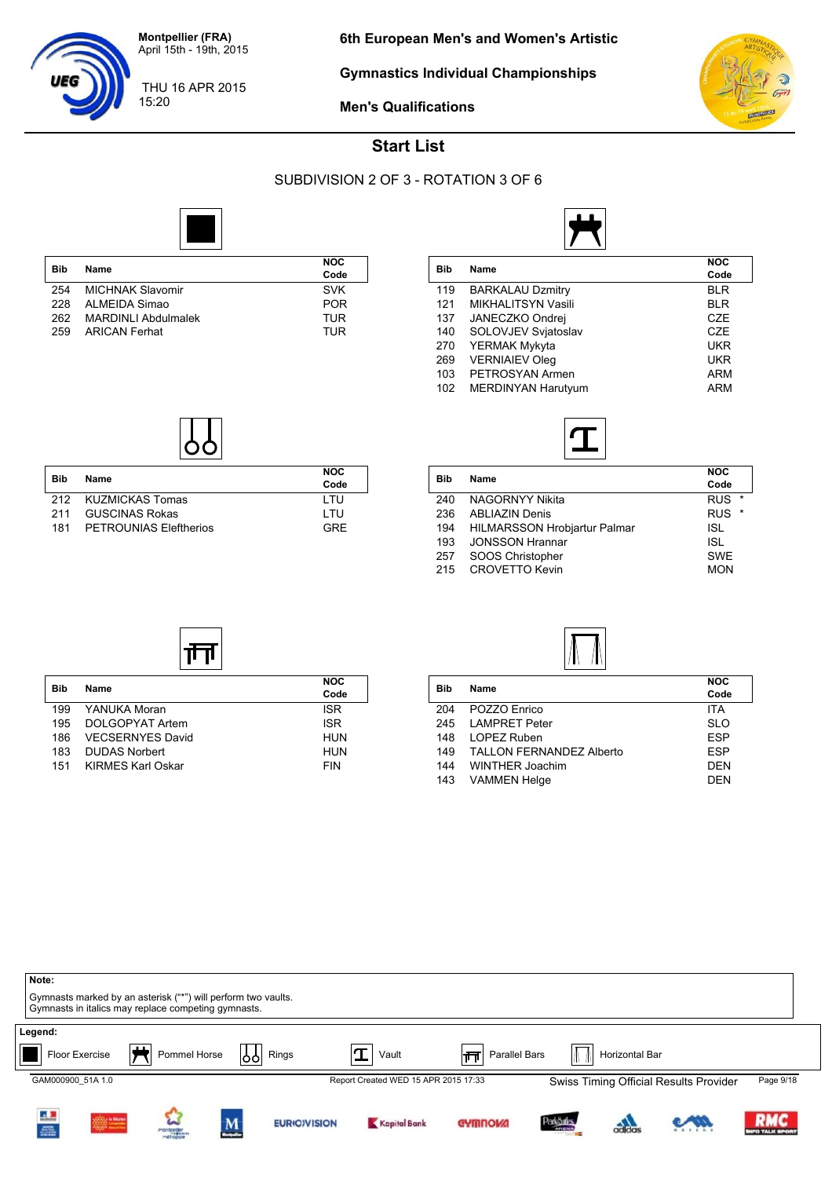

**Gymnastics Individual Championships**



**Men's Qualifications**



#### **Start List**

#### SUBDIVISION 2 OF 3 - ROTATION 3 OF 6

**Code**

**Code**



|     |                            | <b>NOC</b> |
|-----|----------------------------|------------|
| Bib | Name                       | Code       |
| 254 | <b>MICHNAK Slavomir</b>    | <b>SVK</b> |
| 228 | ALMEIDA Simao              | <b>POR</b> |
| 262 | <b>MARDINLI Abdulmalek</b> | TUR        |
| 259 | <b>ARICAN Ferhat</b>       | TUR        |

| Bib | Name                      | <b>NOC</b><br>Code |
|-----|---------------------------|--------------------|
| 119 | <b>BARKALAU Dzmitry</b>   | <b>BLR</b>         |
| 121 | MIKHALITSYN Vasili        | <b>BLR</b>         |
| 137 | JANECZKO Ondrej           | CZE                |
| 140 | SOLOVJEV Svjatoslav       | CZE                |
| 270 | YERMAK Mykyta             | UKR                |
| 269 | <b>VERNIAIEV Oleg</b>     | UKR                |
| 103 | PETROSYAN Armen           | <b>ARM</b>         |
| 102 | <b>MERDINYAN Harutyum</b> | <b>ARM</b>         |
|     |                           |                    |



|                                     | <b>NOC</b>            |
|-------------------------------------|-----------------------|
|                                     | Code                  |
| <b>NAGORNYY Nikita</b>              | <b>RUS</b><br>$\star$ |
| <b>ABLIAZIN Denis</b>               | <b>RUS</b><br>$\star$ |
| <b>HILMARSSON Hrobjartur Palmar</b> | ISL                   |
| <b>JONSSON Hrannar</b>              | ISL                   |
| SOOS Christopher                    | <b>SWE</b>            |
| <b>CROVETTO Kevin</b>               | <b>MON</b>            |
|                                     | Name                  |

| 211 GUSCINAS Rokas         | I TU. |
|----------------------------|-------|
| 181 PETROUNIAS Eleftherios | GRE   |
|                            |       |
|                            |       |
|                            |       |
|                            |       |

**Bib Name NOC**

गेन

199 YANUKA Moran **ISR** 195 DOLGOPYAT Artem **ISR** 186 VECSERNYES David Municipal AUN 183 DUDAS Norbert HUN 151 KIRMES Karl Oskar FIN

**Bib Name NOC**

212 KUZMICKAS Tomas LTU



| <b>Bib</b> | Name                            | <b>NOC</b> |
|------------|---------------------------------|------------|
|            |                                 | Code       |
| 204        | POZZO Enrico                    | <b>ITA</b> |
| 245        | <b>LAMPRET Peter</b>            | <b>SLO</b> |
| 148        | LOPEZ Ruben                     | <b>ESP</b> |
| 149        | <b>TALLON FERNANDEZ Alberto</b> | <b>ESP</b> |
| 144        | <b>WINTHER Joachim</b>          | <b>DEN</b> |
| 143        | <b>VAMMEN Helge</b>             | DFN        |
|            |                                 |            |

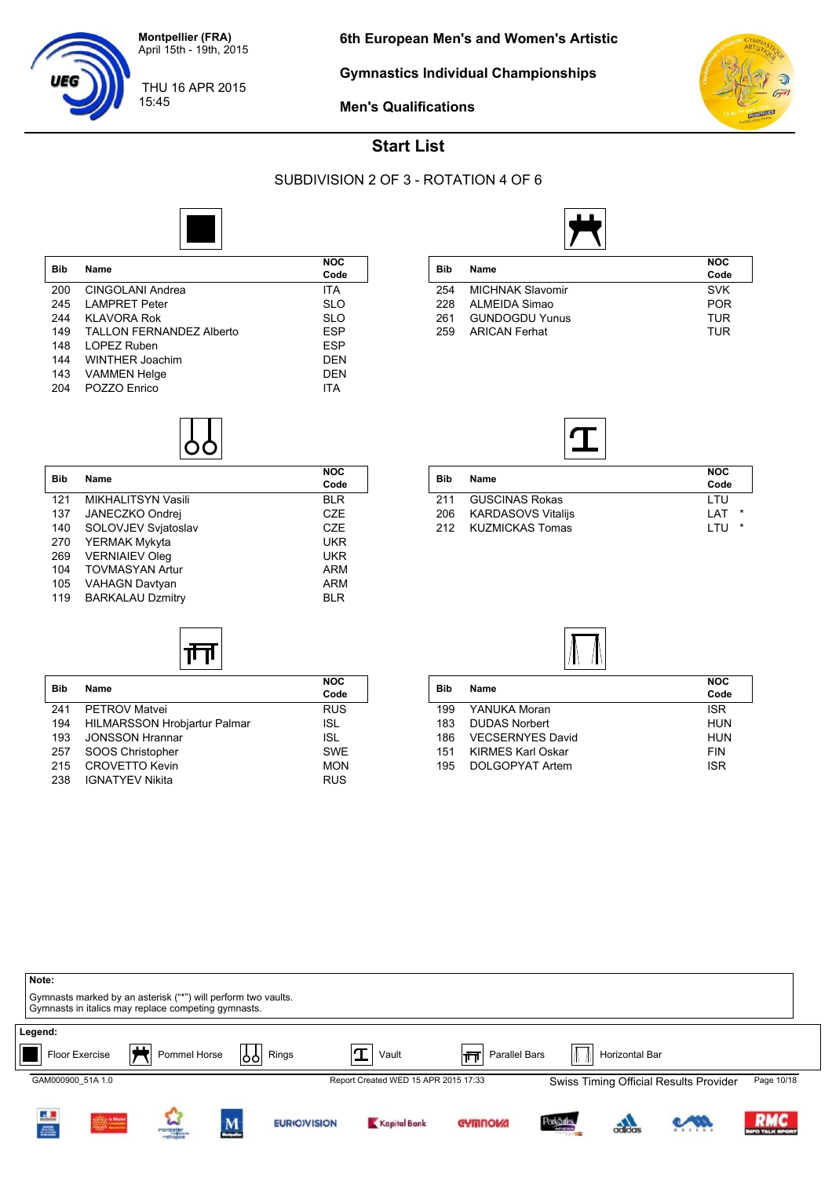

**Gymnastics Individual Championships**



**Men's Qualifications**

**Code**

**Code**



#### **Start List**

#### SUBDIVISION 2 OF 3 - ROTATION 4 OF 6



| <b>Bib</b> | <b>Name</b>                     | <b>NOC</b><br>Code |
|------------|---------------------------------|--------------------|
| 200        | CINGOLANI Andrea                | <b>ITA</b>         |
| 245        | <b>LAMPRET Peter</b>            | <b>SLO</b>         |
| 244        | KLAVORA Rok                     | <b>SLO</b>         |
| 149        | <b>TALLON FERNANDEZ Alberto</b> | <b>ESP</b>         |
| 148        | LOPEZ Ruben                     | <b>ESP</b>         |
| 144        | WINTHER Joachim                 | <b>DEN</b>         |
| 143        | <b>VAMMEN Helge</b>             | <b>DEN</b>         |
| 204        | POZZO Enrico                    | ITA                |

**Bib Name NOC**

121 MIKHALITSYN Vasili BLR 137 JANECZKO Ondrej CZE<br>140 SOLOVJEV Svjatoslav CZE 140 SOLOVJEV Svjatoslav CZE

269 VERNIAIEV Oleg UKR

105 VAHAGN Davtyan **ARM** 119 BARKALAU Dzmitry **BLR** 

**Bib Name NOC**

ᅟᆏᄀ

241 PETROV Matvei **RUS** 194 HILMARSSON Hrobjartur Palmar **ISL** 193 JONSSON Hrannar **ISL** 257 SOOS Christopher SWE 215 CROVETTO Kevin<br>238 IGNATYEV Nikita MON RUS

YERMAK Mykyta

104 TOVMASYAN Artur

238 IGNATYEV Nikita

|            |                         | <b>NOC</b> |  |
|------------|-------------------------|------------|--|
| <b>Bib</b> | Name                    | Code       |  |
| 254        | <b>MICHNAK Slavomir</b> | <b>SVK</b> |  |
| 228        | ALMEIDA Simao           | <b>POR</b> |  |
| 261        | <b>GUNDOGDU Yunus</b>   | TUR        |  |
| 259        | <b>ARICAN Ferhat</b>    | TUR        |  |

| <b>Bib</b> | Name                  | <b>NOC</b><br>Code |
|------------|-----------------------|--------------------|
| 211        | <b>GUSCINAS Rokas</b> | I TU               |
| 206        | KARDASOVS Vitalijs    | *<br>I AT          |
| 212        | KUZMICKAS Tomas       | *<br>I TU          |



| Bib |                          | <b>NOC</b> |  |
|-----|--------------------------|------------|--|
|     | <b>Name</b>              | Code       |  |
| 199 | YANUKA Moran             | <b>ISR</b> |  |
| 183 | <b>DUDAS Norbert</b>     | <b>HUN</b> |  |
| 186 | <b>VECSERNYES David</b>  | HUN        |  |
| 151 | <b>KIRMES Karl Oskar</b> | <b>FIN</b> |  |
| 195 | DOLGOPYAT Artem          | <b>ISR</b> |  |
|     |                          |            |  |

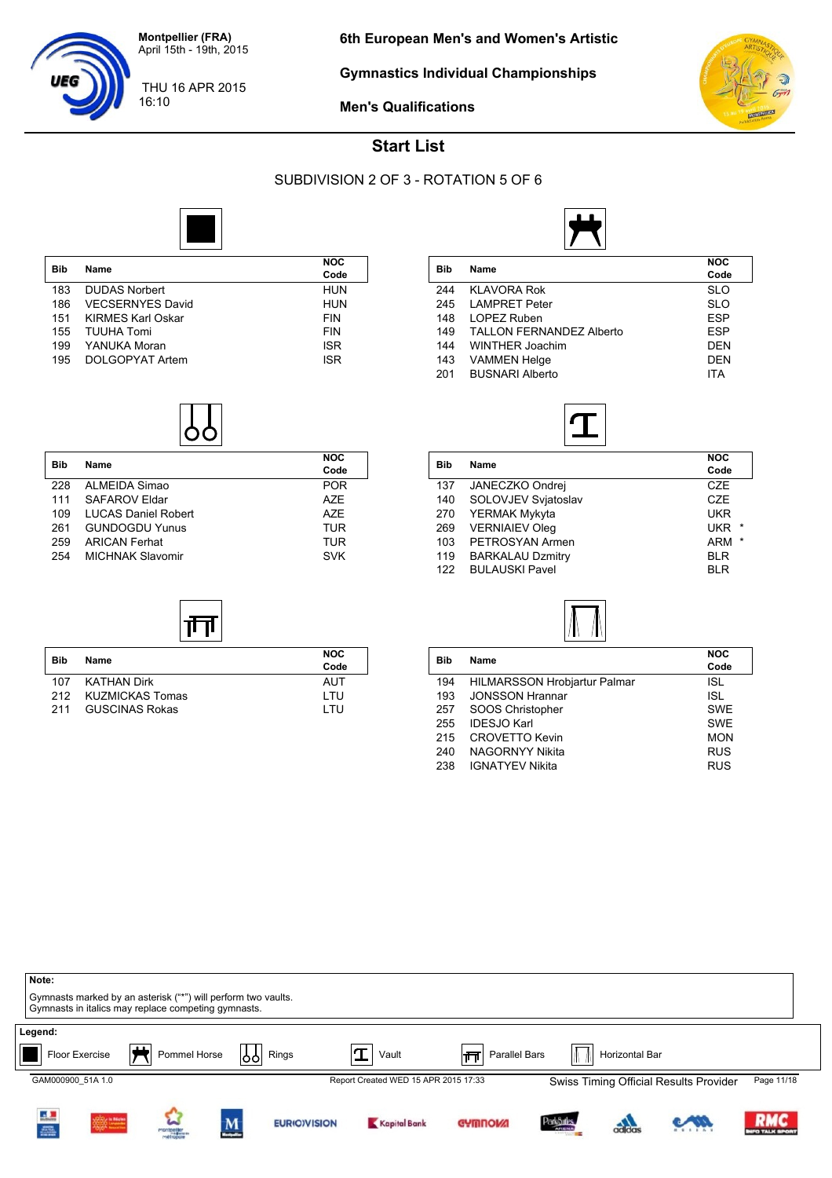

16:10

**Gymnastics Individual Championships**



**Men's Qualifications**



#### **Start List**

#### SUBDIVISION 2 OF 3 - ROTATION 5 OF 6



| <b>Bib</b> | <b>Name</b>             | <b>NOC</b><br>Code |
|------------|-------------------------|--------------------|
| 183        | <b>DUDAS Norbert</b>    | <b>HUN</b>         |
| 186        | <b>VECSERNYES David</b> | <b>HUN</b>         |
| 151        | KIRMES Karl Oskar       | <b>FIN</b>         |
| 155        | TUUHA Tomi              | <b>FIN</b>         |
| 199        | YANUKA Moran            | <b>ISR</b>         |
| 195        | DOLGOPYAT Artem         | <b>ISR</b>         |



|                                 | <b>NOC</b> |
|---------------------------------|------------|
|                                 | Code       |
| <b>KLAVORA Rok</b>              | <b>SLO</b> |
| <b>LAMPRET Peter</b>            | <b>SLO</b> |
| LOPEZ Ruben                     | <b>ESP</b> |
| <b>TALLON FERNANDEZ Alberto</b> | <b>ESP</b> |
| WINTHER Joachim                 | DEN        |
| <b>VAMMEN Helge</b>             | DEN        |
| <b>BUSNARI Alberto</b>          | <b>ITA</b> |
|                                 | Name       |



| Bib | Name                    | <b>NOC</b><br>Code    |
|-----|-------------------------|-----------------------|
|     |                         |                       |
| 137 | JANECZKO Ondrej         | CZE                   |
| 140 | SOLOVJEV Svjatoslav     | CZE                   |
| 270 | YERMAK Mykyta           | <b>UKR</b>            |
| 269 | <b>VERNIAIEV Oleg</b>   | <b>UKR</b><br>$\star$ |
| 103 | PETROSYAN Armen         | <b>ARM</b><br>$\star$ |
| 119 | <b>BARKALAU Dzmitry</b> | <b>BLR</b>            |
| 122 | <b>BULAUSKI Pavel</b>   | <b>BLR</b>            |
|     |                         |                       |



| Bib | Name                                | <b>NOC</b><br>Code |
|-----|-------------------------------------|--------------------|
| 194 | <b>HILMARSSON Hrobjartur Palmar</b> | ISL                |
| 193 | <b>JONSSON Hrannar</b>              | <b>ISL</b>         |
| 257 | SOOS Christopher                    | <b>SWE</b>         |
| 255 | <b>IDESJO Karl</b>                  | <b>SWE</b>         |
| 215 | <b>CROVETTO Kevin</b>               | <b>MON</b>         |
| 240 | <b>NAGORNYY Nikita</b>              | <b>RUS</b>         |
| 238 | <b>IGNATYEV Nikita</b>              | <b>RUS</b>         |

| Note:<br>Gymnasts marked by an asterisk ("*") will perform two vaults.<br>Gymnasts in italics may replace competing gymnasts. |                 |                          |                     |                                      |                     |                                  |                |                                        |                                 |
|-------------------------------------------------------------------------------------------------------------------------------|-----------------|--------------------------|---------------------|--------------------------------------|---------------------|----------------------------------|----------------|----------------------------------------|---------------------------------|
| Legend:<br>Floor Exercise                                                                                                     | Pommel Horse    | }ე                       | Rings               | Vault                                | Parallel Bars<br>∣π |                                  | Horizontal Bar |                                        |                                 |
| GAM000900 51A 1.0                                                                                                             |                 |                          |                     | Report Created WED 15 APR 2015 17:33 |                     |                                  |                | Swiss Timing Official Results Provider | Page 11/18                      |
| i.<br>2006                                                                                                                    | W<br>montpeller | $\underline{\mathbf{M}}$ | <b>EURIO)VISION</b> | Kapital Bank                         | <b>GYMNOW!</b>      | <b>ParkSules</b><br><b>ARENA</b> | adidas         |                                        | <b>RMC</b><br><b>FO TALK SP</b> |



| <b>Bib</b> |                            | <b>NOC</b> |
|------------|----------------------------|------------|
|            | Name                       | Code       |
| 228        | ALMEIDA Simao              | <b>POR</b> |
| 111        | <b>SAFAROV Eldar</b>       | A7F        |
| 109        | <b>LUCAS Daniel Robert</b> | A7F        |
| 261        | <b>GUNDOGDU Yunus</b>      | <b>TUR</b> |
| 259        | <b>ARICAN Ferhat</b>       | <b>TUR</b> |
| 254        | <b>MICHNAK Slavomir</b>    | <b>SVK</b> |

| Bib | Name                  | <b>NOC</b><br>Code |
|-----|-----------------------|--------------------|
| 107 | KATHAN Dirk           | AUT                |
| 212 | KUZMICKAS Tomas       | I TU               |
| 211 | <b>GUSCINAS Rokas</b> | I TU               |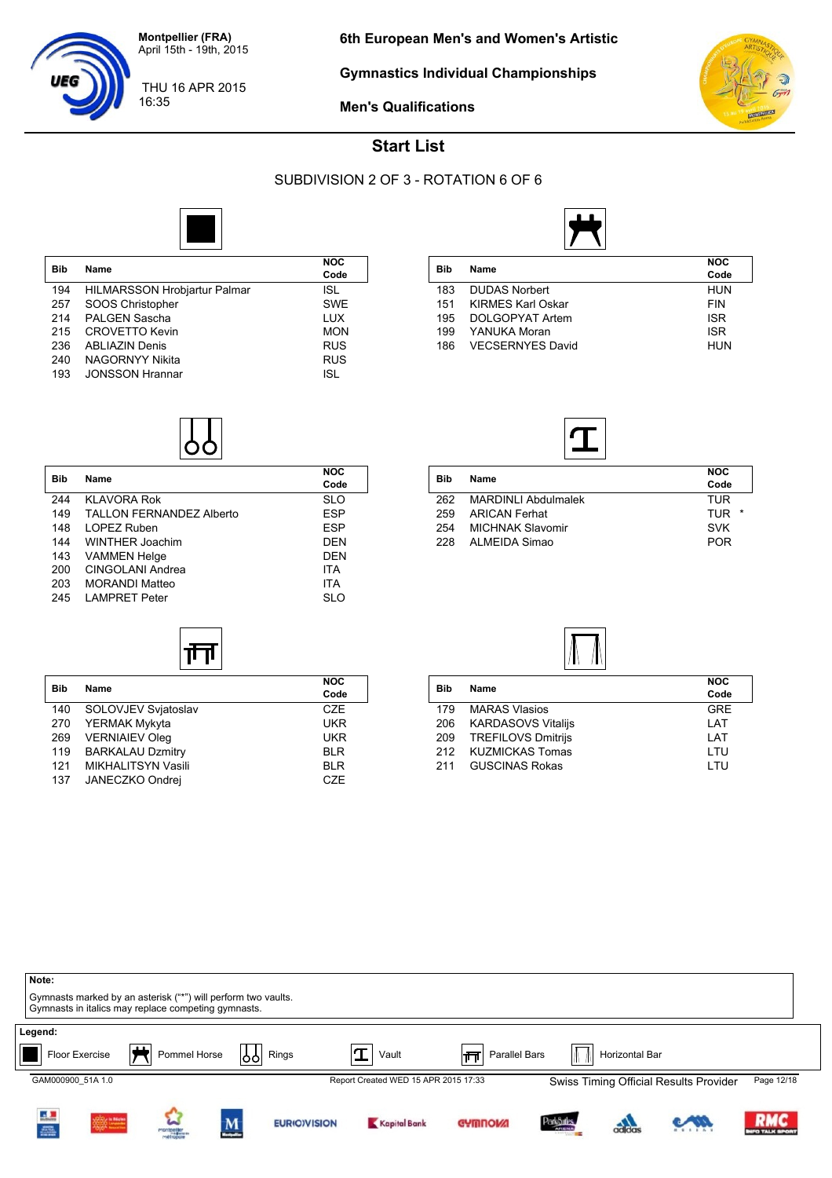

16:35

**Gymnastics Individual Championships**



THU 16 APR 2015



**Men's Qualifications**

#### **Start List**

#### SUBDIVISION 2 OF 3 - ROTATION 6 OF 6

**Code**

**Code**



| <b>Bib</b> | Name                                | <b>NOC</b><br>Code |
|------------|-------------------------------------|--------------------|
| 194        | <b>HILMARSSON Hrobjartur Palmar</b> | <b>ISL</b>         |
| 257        | SOOS Christopher                    | <b>SWE</b>         |
| 214        | <b>PALGEN Sascha</b>                | <b>LUX</b>         |
| 215        | <b>CROVETTO Kevin</b>               | <b>MON</b>         |
| 236        | <b>ABLIAZIN Denis</b>               | <b>RUS</b>         |
| 240        | NAGORNYY Nikita                     | <b>RUS</b>         |
| 193        | <b>JONSSON Hrannar</b>              | <b>ISL</b>         |

**Bib Name NOC**

244 KLAVORA Rok SLO 149 TALLON FERNANDEZ Alberto **ESP**<br>148 LOPEZ Ruben 148 LOPEZ Ruben<br>144 WINTHER Joachim ESP DEN

143 VAMMEN Helge DEN

203 MORANDI Matteo ITA 245 LAMPRET Peter SLO

**Bib Name NOC**

ᅟᆏᄀ

140 SOLOVJEV Svjatoslav CZE 270 YERMAK Mykyta **WARAT WAR** 269 VERNIAIEV Oleg 269 UKR 119 BARKALAU Dzmitry **BLR** 121 MIKHALITSYN Vasili BLR<br>137 JANECZKO Ondrej BLR CZE

WINTHER Joachim

CINGOLANI Andrea

137 JANECZKO Ondrej



| Bib | <b>Name</b>              | <b>NOC</b> |
|-----|--------------------------|------------|
|     |                          | Code       |
| 183 | <b>DUDAS Norbert</b>     | HUN        |
| 151 | <b>KIRMES Karl Oskar</b> | <b>FIN</b> |
| 195 | DOLGOPYAT Artem          | <b>ISR</b> |
| 199 | YANUKA Moran             | <b>ISR</b> |
| 186 | <b>VECSERNYES David</b>  | HUN        |
|     |                          |            |



| Bib | Name                    | <b>NOC</b><br>Code |
|-----|-------------------------|--------------------|
| 262 | MARDINI I Abdulmalek    | TUR                |
| 259 | ARICAN Ferhat           | TUR<br>$\star$     |
| 254 | <b>MICHNAK Slavomir</b> | <b>SVK</b>         |
| 228 | ALMEIDA Simao           | <b>POR</b>         |



| <b>Bib</b> | Name                      | <b>NOC</b> |
|------------|---------------------------|------------|
|            |                           | Code       |
| 179        | <b>MARAS Vlasios</b>      | <b>GRE</b> |
| 206        | <b>KARDASOVS Vitalijs</b> | LAT        |
| 209        | <b>TREFILOVS Dmitrijs</b> | LAT        |
| 212        | <b>KUZMICKAS Tomas</b>    | LTU        |
| 211        | <b>GUSCINAS Rokas</b>     | I TU       |
|            |                           |            |

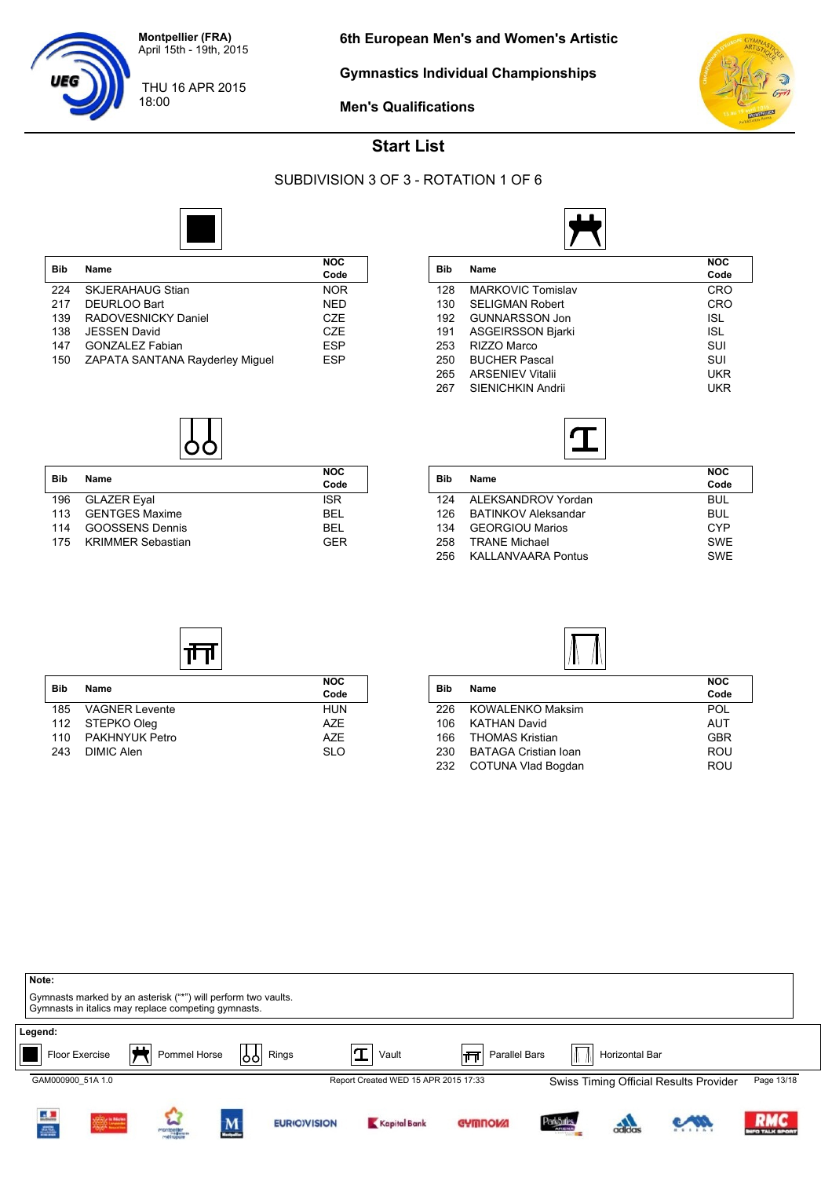

18:00

**Gymnastics Individual Championships**



**Men's Qualifications**



#### **Start List**

#### SUBDIVISION 3 OF 3 - ROTATION 1 OF 6



| <b>Bib</b> | Name                            | <b>NOC</b>       |
|------------|---------------------------------|------------------|
|            |                                 | Code             |
| 224        | <b>SKJERAHAUG Stian</b>         | <b>NOR</b>       |
| 217        | DEURLOO Bart                    | <b>NED</b>       |
| 139        | RADOVESNICKY Daniel             | <b>CZE</b>       |
| 138        | <b>JESSEN David</b>             | C <sub>7</sub> F |
| 147        | <b>GONZALEZ Fabian</b>          | <b>ESP</b>       |
| 150        | ZAPATA SANTANA Rayderley Miguel | <b>ESP</b>       |

| <b>Bib</b> | Name                  | <b>NOC</b><br>Code |
|------------|-----------------------|--------------------|
| 196        | GLAZER Eyal           | <b>ISR</b>         |
| 113        | <b>GENTGES Maxime</b> | <b>RFI</b>         |
| 114        | GOOSSENS Dennis       | BEL                |
|            | 175 KRIMMER Sebastian | GFR                |

| Bib |                          | <b>NOC</b> |
|-----|--------------------------|------------|
|     | Name                     | Code       |
| 128 | <b>MARKOVIC Tomislav</b> | <b>CRO</b> |
| 130 | <b>SELIGMAN Robert</b>   | <b>CRO</b> |
| 192 | <b>GUNNARSSON Jon</b>    | <b>ISL</b> |
| 191 | <b>ASGEIRSSON Bjarki</b> | <b>ISL</b> |
| 253 | RIZZO Marco              | SUI        |
| 250 | <b>BUCHER Pascal</b>     | SUI        |
| 265 | <b>ARSENIEV Vitalii</b>  | UKR        |
| 267 | SIENICHKIN Andrii        | UKR        |
|     |                          |            |



| Bib | <b>Name</b>                | <b>NOC</b> |
|-----|----------------------------|------------|
|     |                            | Code       |
| 124 | ALEKSANDROV Yordan         | <b>BUL</b> |
| 126 | <b>BATINKOV Aleksandar</b> | BUL.       |
| 134 | <b>GEORGIOU Marios</b>     | CYP        |
| 258 | <b>TRANF Michael</b>       | <b>SWF</b> |
| 256 | <b>KALLANVAARA Pontus</b>  | <b>SWE</b> |
|     |                            |            |

| <b>Bib</b> |                       | <b>NOC</b> |
|------------|-----------------------|------------|
|            | Name                  | Code       |
| 185        | <b>VAGNER Levente</b> | <b>HUN</b> |
|            | 112 STEPKO Oleg       | A7F        |
| 110        | PAKHNYUK Petro        | A7F        |
| 243        | DIMIC Alen            | SI O       |

| Name                        | <b>NOC</b><br>Code              |
|-----------------------------|---------------------------------|
| <b>KOWALENKO Maksim</b>     | POL                             |
|                             | <b>AUT</b>                      |
|                             | <b>GBR</b>                      |
| <b>BATAGA Cristian Ioan</b> | <b>ROU</b>                      |
| COTUNA Vlad Bogdan          | ROU                             |
|                             | KATHAN David<br>THOMAS Kristian |

| Note:                               | Gymnasts marked by an asterisk ("*") will perform two vaults.<br>Gymnasts in italics may replace competing gymnasts. |                              |    |                     |                                               |                      |                               |                |                                        |                                 |
|-------------------------------------|----------------------------------------------------------------------------------------------------------------------|------------------------------|----|---------------------|-----------------------------------------------|----------------------|-------------------------------|----------------|----------------------------------------|---------------------------------|
| Legend:                             |                                                                                                                      | $\blacksquare$               |    |                     |                                               |                      |                               |                |                                        |                                 |
| Floor Exercise<br>GAM000900 51A 1.0 |                                                                                                                      | Pommel Horse                 | }} | Rings               | Vault<br>Report Created WED 15 APR 2015 17:33 | Parallel Bars<br>∣πा |                               | Horizontal Bar |                                        | Page 13/18                      |
| i<br>e                              | 2002100000                                                                                                           | W<br>montpeller<br>métropole | M  | <b>EURIO)VISION</b> | Kapital Bank                                  | <b>GYMNOW!</b>       | Park Sules<br><b>CELONIAL</b> | adidas         | Swiss Timing Official Results Provider | <b>RMC</b><br><b>FO TALK SP</b> |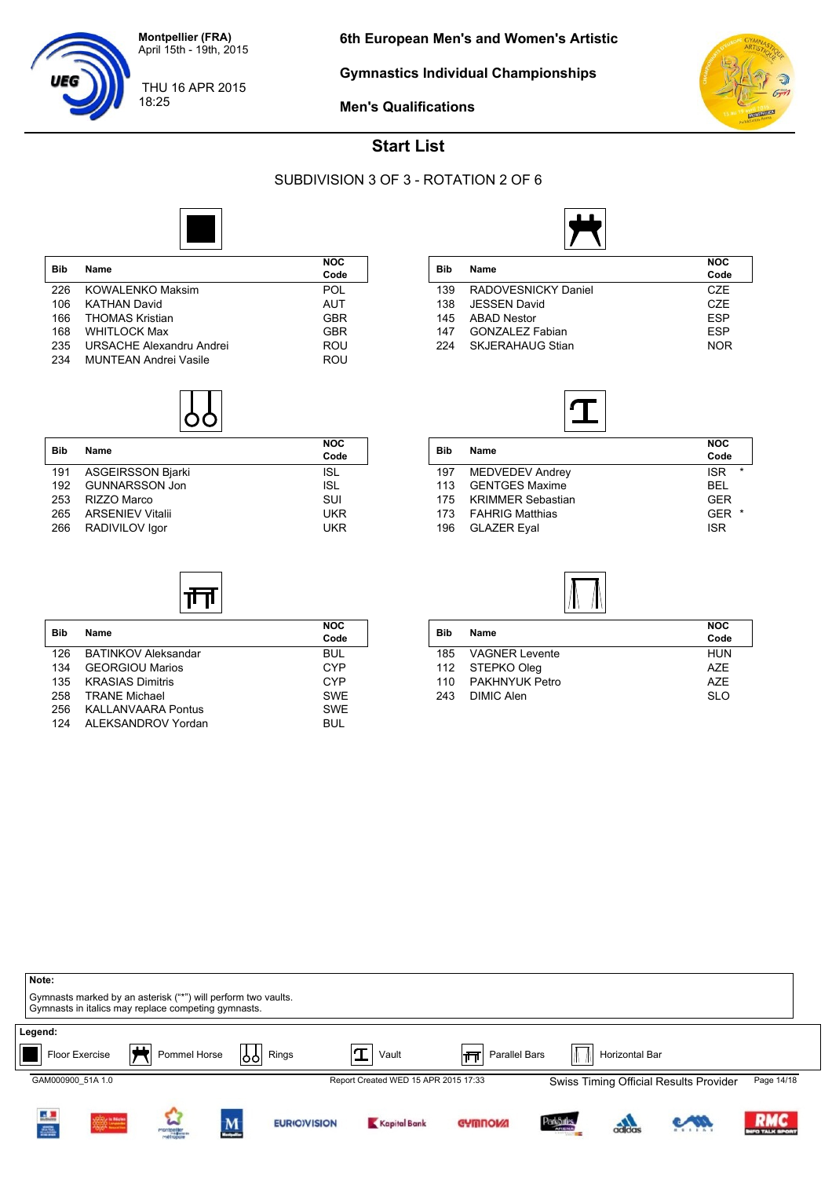

18:25

**Gymnastics Individual Championships**



**Men's Qualifications**



#### **Start List**

#### SUBDIVISION 3 OF 3 - ROTATION 2 OF 6



| Name                         | <b>NOC</b><br>Code |
|------------------------------|--------------------|
| <b>KOWALENKO Maksim</b>      | POL                |
| <b>KATHAN David</b>          | AUT                |
| <b>THOMAS Kristian</b>       | GBR                |
| <b>WHITLOCK Max</b>          | <b>GBR</b>         |
| URSACHE Alexandru Andrei     | ROU                |
| <b>MUNTEAN Andrei Vasile</b> | ROU                |
|                              |                    |

| <b>Bib</b> | <b>Name</b>              | <b>NOC</b><br>Code |
|------------|--------------------------|--------------------|
| 191        | <b>ASGEIRSSON Bjarki</b> | <b>ISL</b>         |
| 192        | GUNNARSSON Jon           | <b>ISL</b>         |
| 253        | RIZZO Marco              | SUI                |
| 265        | <b>ARSENIEV Vitalii</b>  | <b>UKR</b>         |
| 266        | RADIVILOV Igor           | <b>UKR</b>         |

**Bib Name NOC**

帀

126 BATINKOV Aleksandar BUL<br>134 GEORGIOU Marios CYP 134 GEORGIOU Marios CYP<br>134 KRASIAS Dimitris CYP 135 KRASIAS Dimitris CYP<br>158 TRANE Michael CHAST COVE 25 TRANE Michael SWE<br>258 KALLANVAARA Pontus CWE 256 KALLANVAARA Pontus SWE<br>124 ALEKSANDROV Yordan SUL BUL

124 ALEKSANDROV Yordan

| Bib | Name                    | <b>NOC</b> |
|-----|-------------------------|------------|
|     |                         | Code       |
| 139 | RADOVESNICKY Daniel     | CZE        |
| 138 | <b>JESSEN David</b>     | CZE        |
| 145 | <b>ABAD Nestor</b>      | <b>FSP</b> |
| 147 | <b>GONZALEZ Fabian</b>  | <b>FSP</b> |
| 224 | <b>SKJERAHAUG Stian</b> | <b>NOR</b> |



| Bib | <b>Name</b>            | <b>NOC</b><br>Code    |
|-----|------------------------|-----------------------|
| 197 | <b>MEDVEDEV Andrey</b> | $\star$<br><b>ISR</b> |
| 113 | <b>GENTGES Maxime</b>  | <b>BFL</b>            |
|     | 175 KRIMMER Sebastian  | GFR                   |
| 173 | FAHRIG Matthias        | GFR<br>$\star$        |
| 196 | <b>GLAZER Eval</b>     | <b>ISR</b>            |
|     |                        |                       |



|            | Name                  | <b>NOC</b> |
|------------|-----------------------|------------|
| <b>Bib</b> |                       | Code       |
| 185        | <b>VAGNER Levente</b> | <b>HUN</b> |
|            | 112 STEPKO Oleg       | A7F        |
| 110        | PAKHNYUK Petro        | A7F        |
| 243        | DIMIC Alen            | SI O       |

| Note:             | Gymnasts marked by an asterisk ("*") will perform two vaults.<br>Gymnasts in italics may replace competing gymnasts. |                 |                        |                     |                                      |                    |                                                |                |                                        |                           |
|-------------------|----------------------------------------------------------------------------------------------------------------------|-----------------|------------------------|---------------------|--------------------------------------|--------------------|------------------------------------------------|----------------|----------------------------------------|---------------------------|
| Legend:           | $\mathbf{u}$<br>Floor Exercise<br>T                                                                                  | Pommel Horse    | 1991                   | Rings               | Vault                                | Parallel Bars<br>帀 |                                                | Horizontal Bar |                                        |                           |
| GAM000900 51A 1.0 |                                                                                                                      |                 |                        |                     | Report Created WED 15 APR 2015 17:33 |                    |                                                |                | Swiss Timing Official Results Provider | Page 14/18                |
| i<br>A            | -02020 to Matter<br>20020 Linuxen                                                                                    | W<br>montpeller | M<br><b>Separation</b> | <b>EURIO)VISION</b> | Kapital Bank                         | <b>GYMNOW!</b>     | ParkSules<br><b>ARENA</b><br><b>STATISTICS</b> | adidas         |                                        | <b>RMC</b><br>FO TALK SPO |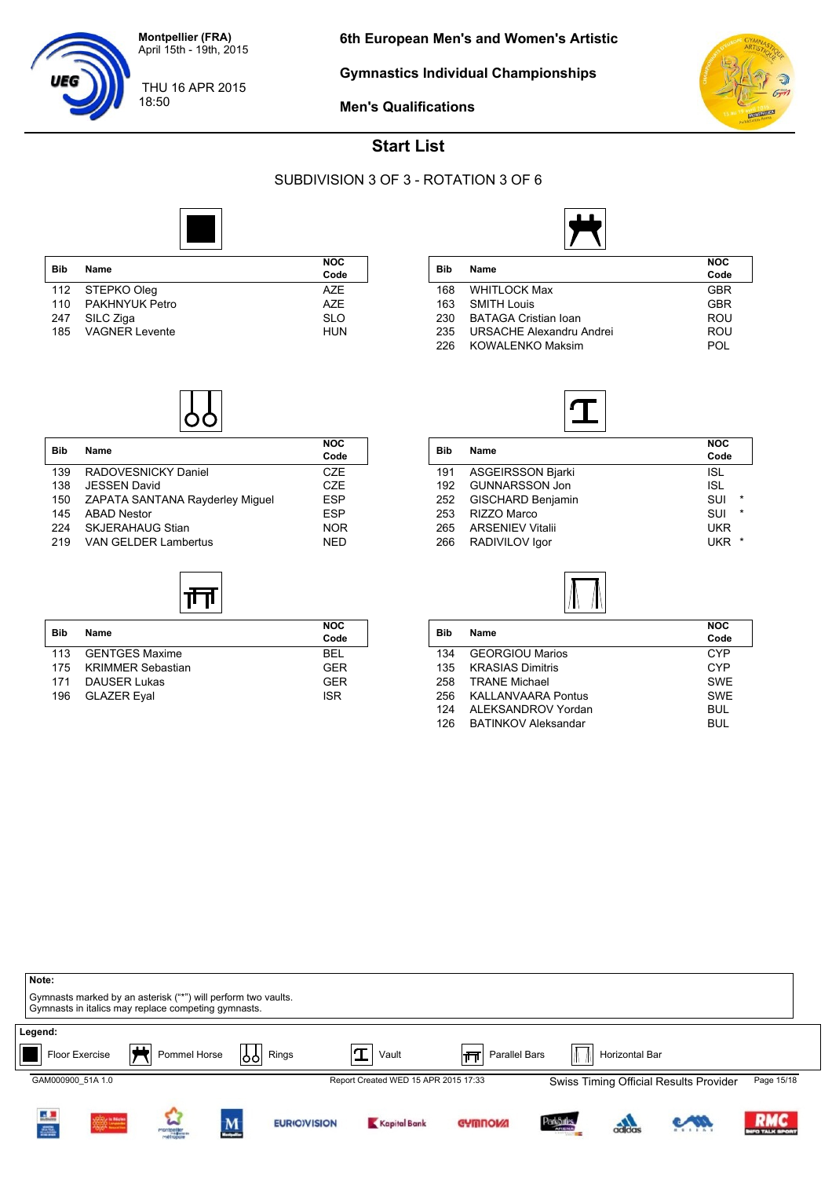

18:50

**Gymnastics Individual Championships**



**Men's Qualifications**



#### **Start List**

#### SUBDIVISION 3 OF 3 - ROTATION 3 OF 6

**Code**

**Code**



|            |                       | <b>NOC</b> |
|------------|-----------------------|------------|
| <b>Bib</b> | Name                  | Code       |
|            | 112 STEPKO Oleg       | A7F        |
| 110        | PAKHNYUK Petro        | <b>AZE</b> |
| 247        | SILC Ziga             | <b>SLO</b> |
| 185        | <b>VAGNER Levente</b> | <b>HUN</b> |

**Bib Name NOC**

139 RADOVESNICKY Daniel CZE 138 JESSEN David<br>150 ZAPATA SANTANA Ravderlev Miquel ESP ZAPATA SANTANA Rayderley Miguel

145 ABAD Nestor<br>145 AKJERAHAUG Stian 1988 ESP NOR 224 SKJERAHAUG Stian<br>219 VAN GELDER Lambertus NED

**Bib Name NOC**

זן π

113 GENTGES Maxime<br>175 KRIMMER Sebastian GER

171 DAUSER Lukas GER<br>196 GLAZER Eyal GER GER GER

VAN GELDER Lambertus

KRIMMER Sebastian

GLAZER Eyal



| Bib | Name                        | <b>NOC</b><br>Code |
|-----|-----------------------------|--------------------|
| 168 | <b>WHITLOCK Max</b>         | GBR                |
| 163 | <b>SMITH Louis</b>          | GBR                |
| 230 | <b>BATAGA Cristian Ioan</b> | ROU                |
| 235 | URSACHE Alexandru Andrei    | ROU                |
| 226 | <b>KOWALENKO Maksim</b>     | POL                |
|     |                             |                    |



| $\star$ |
|---------|
| $\star$ |
|         |
| $\star$ |
|         |

| <b>Bib</b> | Name                       | <b>NOC</b> |  |
|------------|----------------------------|------------|--|
|            |                            | Code       |  |
| 134        | <b>GEORGIOU Marios</b>     | CYP        |  |
| 135        | <b>KRASIAS Dimitris</b>    | CYP        |  |
| 258        | <b>TRANE Michael</b>       | <b>SWE</b> |  |
| 256        | <b>KALLANVAARA Pontus</b>  | <b>SWE</b> |  |
| 124        | ALEKSANDROV Yordan         | <b>BUL</b> |  |
| 126        | <b>BATINKOV Aleksandar</b> | <b>BUL</b> |  |
|            |                            |            |  |

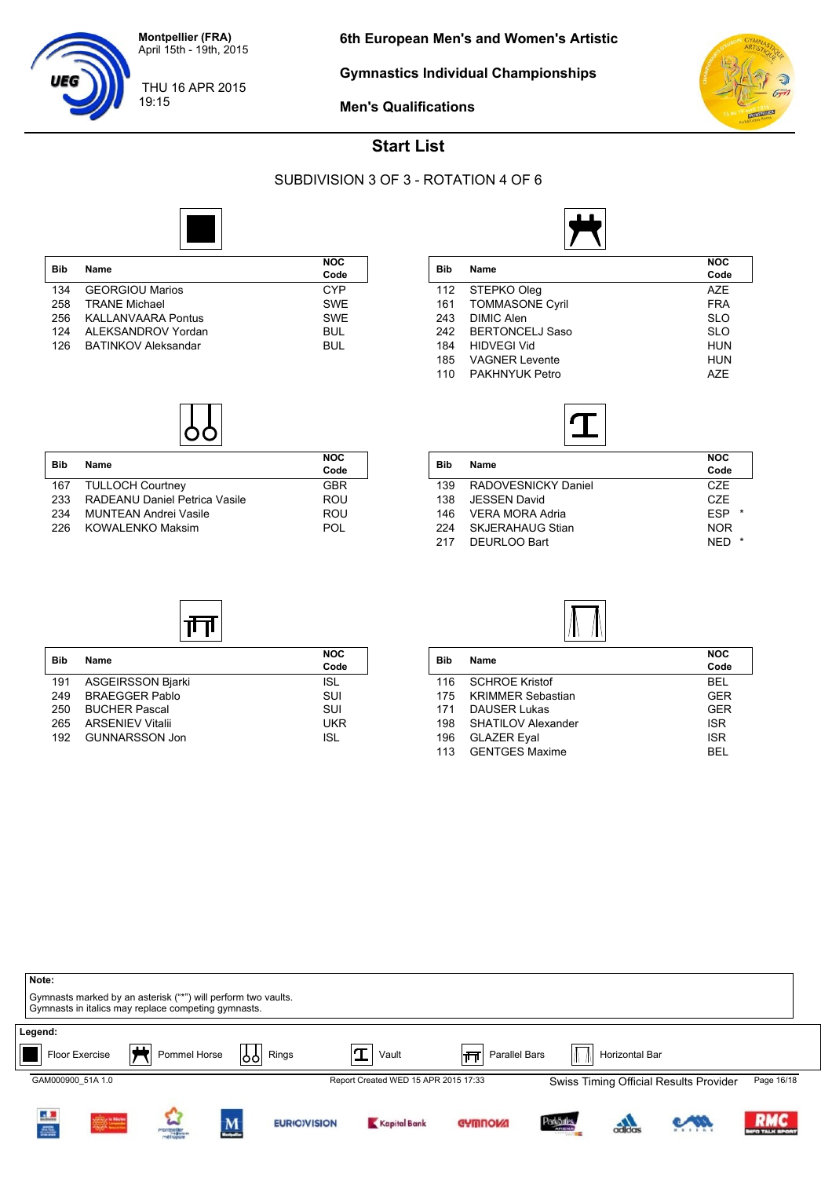

19:15

**Gymnastics Individual Championships**



**Men's Qualifications**



#### **Start List**

#### SUBDIVISION 3 OF 3 - ROTATION 4 OF 6



| <b>Bib</b> | Name                       | <b>NOC</b> |
|------------|----------------------------|------------|
|            |                            | Code       |
| 134        | <b>GEORGIOU Marios</b>     | CYP        |
| 258        | <b>TRANF Michael</b>       | <b>SWF</b> |
| 256        | KALLANVAARA Pontus         | <b>SWF</b> |
| 124        | ALEKSANDROV Yordan         | <b>BUL</b> |
| 126        | <b>BATINKOV Aleksandar</b> | <b>BUL</b> |

**Bib Name NOC**

167 TULLOCH Courtney GBR<br>
233 RADEANU Daniel Petrica Vasile ROU

234 MUNTEAN Andrei Vasile<br>226 KOWALENKO Maksim ROU POL

प्तेत्त

RADEANU Daniel Petrica Vasile

KOWALENKO Maksim



| <b>Bib</b> | Name                   | <b>NOC</b><br>Code |
|------------|------------------------|--------------------|
| 112        | STEPKO Oleg            | <b>AZE</b>         |
| 161        | <b>TOMMASONE Cyril</b> | <b>FRA</b>         |
| 243        | <b>DIMIC Alen</b>      | <b>SLO</b>         |
| 242        | <b>BERTONCELJ Saso</b> | <b>SLO</b>         |
| 184        | <b>HIDVEGI Vid</b>     | <b>HUN</b>         |
| 185        | <b>VAGNER Levente</b>  | <b>HUN</b>         |
| 110        | PAKHNYUK Petro         | A7F                |
|            |                        |                    |



| <b>Name</b>             | <b>NOC</b><br>Code    |
|-------------------------|-----------------------|
| RADOVESNICKY Daniel     | CZE                   |
| <b>JESSEN David</b>     | C <sub>7</sub> F      |
| VERA MORA Adria         | <b>FSP</b><br>$\star$ |
| <b>SKJERAHAUG Stian</b> | <b>NOR</b>            |
| DEURLOO Bart            | <b>NFD</b><br>$\star$ |
|                         |                       |



| Bib | Name                     | <b>NOC</b><br>Code |
|-----|--------------------------|--------------------|
| 191 | <b>ASGEIRSSON Bjarki</b> | <b>ISL</b>         |
| 249 | <b>BRAEGGER Pablo</b>    | SUI                |
| 250 | <b>BUCHER Pascal</b>     | SUI                |
| 265 | <b>ARSENIEV Vitalii</b>  | UKR                |
| 192 | <b>GUNNARSSON Jon</b>    | <b>ISL</b>         |

| <b>Bib</b> |                          | <b>NOC</b> |
|------------|--------------------------|------------|
|            | Name                     | Code       |
| 116        | <b>SCHROE Kristof</b>    | BEL        |
| 175        | <b>KRIMMER Sebastian</b> | GFR        |
| 171        | <b>DAUSER Lukas</b>      | <b>GER</b> |
| 198        | SHATILOV Alexander       | <b>ISR</b> |
| 196        | <b>GLAZER Eval</b>       | <b>ISR</b> |
| 113        | <b>GENTGES Maxime</b>    | <b>RFI</b> |

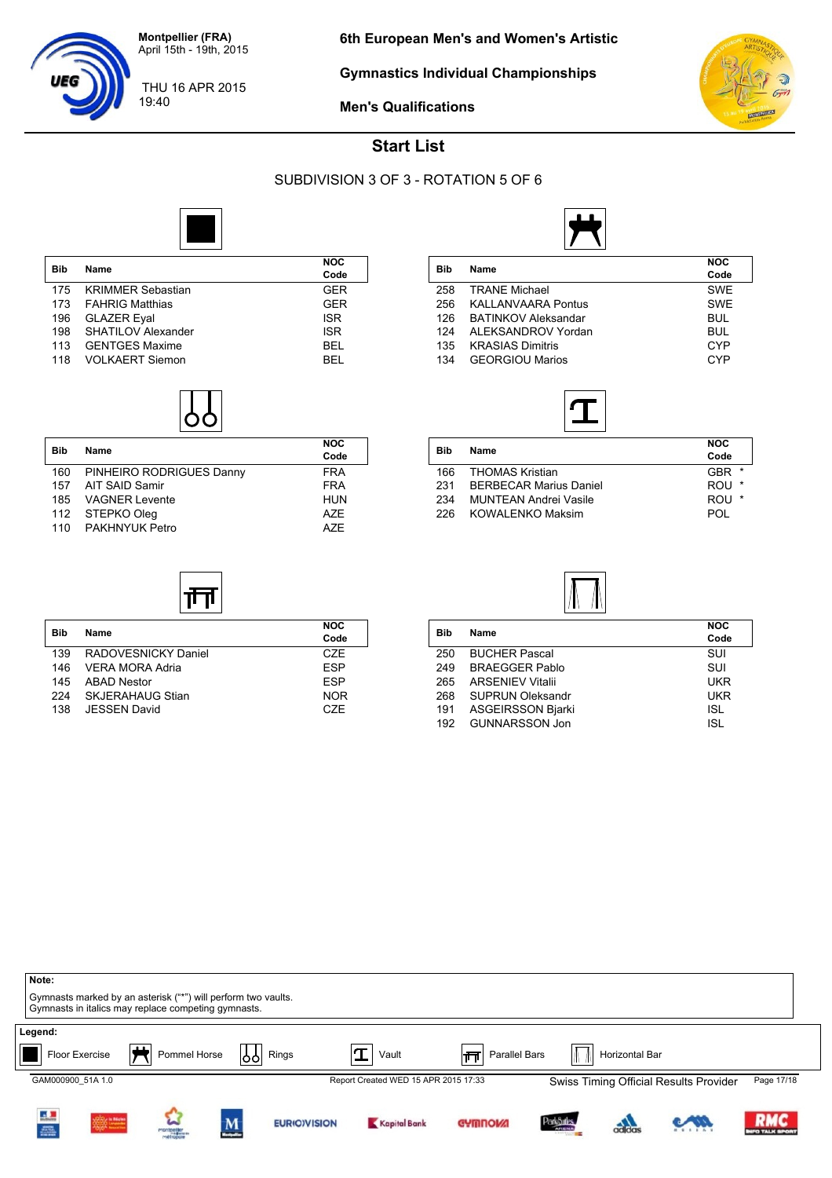

19:40

UEG

**Gymnastics Individual Championships**



**Men's Qualifications**

#### **Start List**

#### SUBDIVISION 3 OF 3 - ROTATION 5 OF 6



| <b>Bib</b> | Name                     | <b>NOC</b><br>Code |
|------------|--------------------------|--------------------|
|            |                          |                    |
| 175        | <b>KRIMMER Sebastian</b> | <b>GER</b>         |
| 173        | <b>FAHRIG Matthias</b>   | <b>GER</b>         |
| 196        | <b>GLAZER Eval</b>       | <b>ISR</b>         |
| 198        | SHATILOV Alexander       | <b>ISR</b>         |
| 113        | <b>GENTGES Maxime</b>    | BEL                |
| 118        | <b>VOLKAERT Siemon</b>   | REI                |

| <b>Bib</b> | Name                     | <b>NOC</b> |
|------------|--------------------------|------------|
|            |                          | Code       |
| 160        | PINHEIRO RODRIGUES Danny | <b>FRA</b> |
| 157        | AIT SAID Samir           | <b>FRA</b> |
|            | 185 VAGNER Levente       | <b>HUN</b> |
|            | 112 STEPKO Oleg          | A7F        |
| 110        | PAKHNYUK Petro           | A7F        |

**Bib Name NOC**

गेन

139 RADOVESNICKY Daniel CZE<br>146 VERA MORA Adria CZE ESP

145 ABAD Nestor<br>224 SKJERAHAUG Stian **ESP NOR** 

138 JESSEN David CZE

VERA MORA Adria

SKJERAHAUG Stian

| <b>Bib</b> |                            | <b>NOC</b> |  |  |  |  |  |
|------------|----------------------------|------------|--|--|--|--|--|
|            | Name                       | Code       |  |  |  |  |  |
| 258        | <b>TRANE Michael</b>       | <b>SWE</b> |  |  |  |  |  |
| 256        | <b>KALLANVAARA Pontus</b>  | <b>SWE</b> |  |  |  |  |  |
| 126        | <b>BATINKOV Aleksandar</b> | <b>BUL</b> |  |  |  |  |  |
| 124        | ALEKSANDROV Yordan         | <b>BUL</b> |  |  |  |  |  |
| 135        | <b>KRASIAS Dimitris</b>    | CYP        |  |  |  |  |  |
| 134        | <b>GEORGIOU Marios</b>     | <b>CYP</b> |  |  |  |  |  |
|            |                            |            |  |  |  |  |  |



| Bib | <b>Name</b>                   | <b>NOC</b><br>Code |
|-----|-------------------------------|--------------------|
| 166 | <b>THOMAS Kristian</b>        | <b>GBR</b>         |
| 231 | <b>BERBECAR Marius Daniel</b> | ROU                |
| 234 | MUNTEAN Andrei Vasile         | ROU                |
| 226 | <b>KOWALENKO Maksim</b>       | POL                |



|                          | <b>NOC</b> |
|--------------------------|------------|
|                          | Code       |
| <b>BUCHER Pascal</b>     | SUI        |
| <b>BRAEGGER Pablo</b>    | SUI        |
| <b>ARSENIEV Vitalii</b>  | <b>UKR</b> |
| <b>SUPRUN Oleksandr</b>  | <b>UKR</b> |
| <b>ASGEIRSSON Bjarki</b> | ISL        |
| <b>GUNNARSSON Jon</b>    | ISL        |
|                          | Name       |